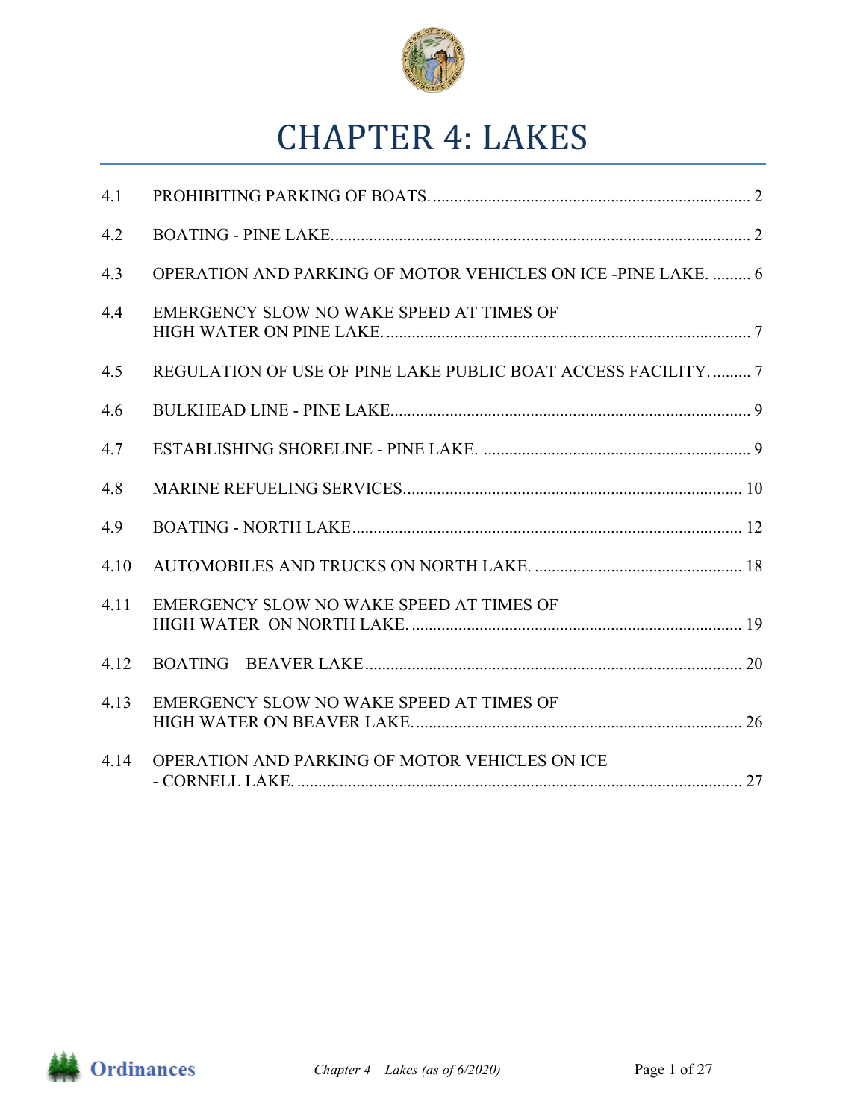

# **CHAPTER 4: LAKES**

| 4.1  |                                                               |  |
|------|---------------------------------------------------------------|--|
| 4.2  |                                                               |  |
| 4.3  | OPERATION AND PARKING OF MOTOR VEHICLES ON ICE -PINE LAKE.  6 |  |
| 4.4  | EMERGENCY SLOW NO WAKE SPEED AT TIMES OF                      |  |
| 4.5  | REGULATION OF USE OF PINE LAKE PUBLIC BOAT ACCESS FACILITY 7  |  |
| 4.6  |                                                               |  |
| 4.7  |                                                               |  |
| 4.8  |                                                               |  |
| 4.9  |                                                               |  |
| 4.10 |                                                               |  |
| 4.11 | EMERGENCY SLOW NO WAKE SPEED AT TIMES OF                      |  |
| 4.12 |                                                               |  |
| 4.13 | EMERGENCY SLOW NO WAKE SPEED AT TIMES OF                      |  |
| 4.14 | OPERATION AND PARKING OF MOTOR VEHICLES ON ICE                |  |

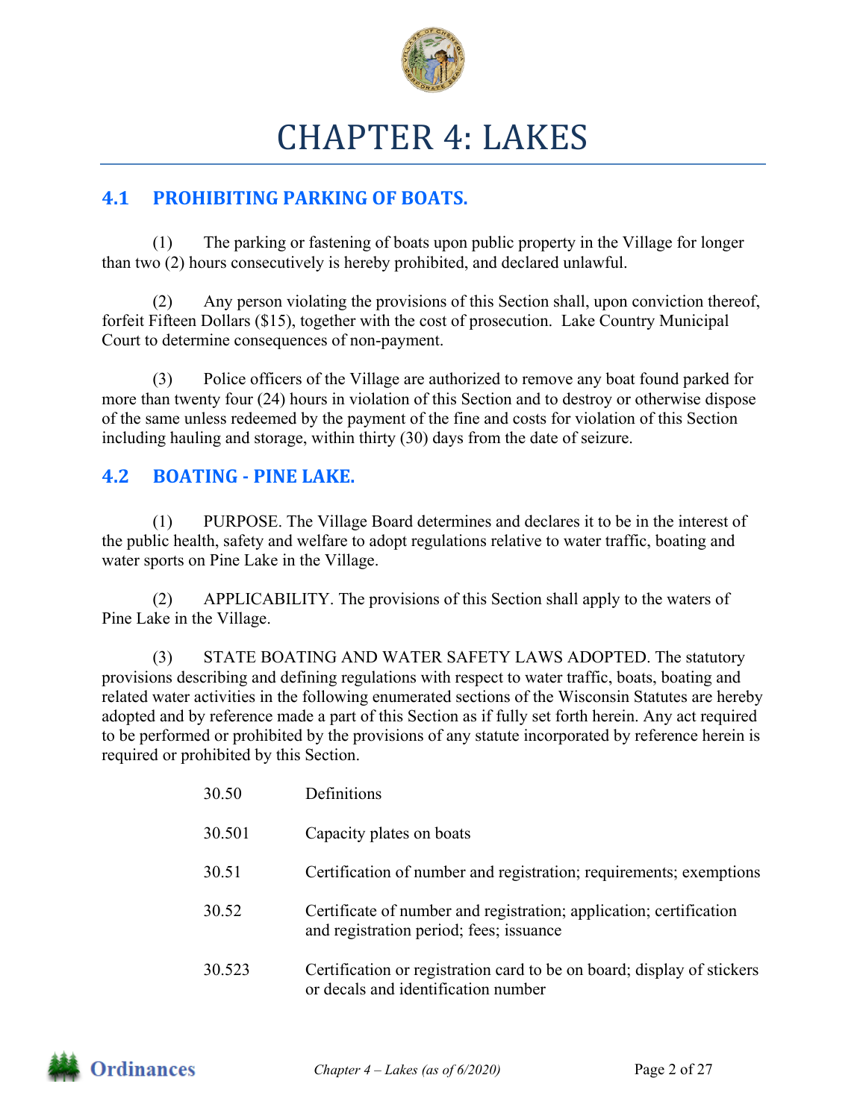

# CHAPTER 4: LAKES

# **4.1 PROHIBITING PARKING OF BOATS.**

(1) The parking or fastening of boats upon public property in the Village for longer than two (2) hours consecutively is hereby prohibited, and declared unlawful.

(2) Any person violating the provisions of this Section shall, upon conviction thereof, forfeit Fifteen Dollars (\$15), together with the cost of prosecution. Lake Country Municipal Court to determine consequences of non-payment.

(3) Police officers of the Village are authorized to remove any boat found parked for more than twenty four (24) hours in violation of this Section and to destroy or otherwise dispose of the same unless redeemed by the payment of the fine and costs for violation of this Section including hauling and storage, within thirty (30) days from the date of seizure.

## **4.2 BOATING** - PINE LAKE.

(1) PURPOSE. The Village Board determines and declares it to be in the interest of the public health, safety and welfare to adopt regulations relative to water traffic, boating and water sports on Pine Lake in the Village.

(2) APPLICABILITY. The provisions of this Section shall apply to the waters of Pine Lake in the Village.

(3) STATE BOATING AND WATER SAFETY LAWS ADOPTED. The statutory provisions describing and defining regulations with respect to water traffic, boats, boating and related water activities in the following enumerated sections of the Wisconsin Statutes are hereby adopted and by reference made a part of this Section as if fully set forth herein. Any act required to be performed or prohibited by the provisions of any statute incorporated by reference herein is required or prohibited by this Section.

| 30.50  | Definitions                                                                                                   |
|--------|---------------------------------------------------------------------------------------------------------------|
| 30.501 | Capacity plates on boats                                                                                      |
| 30.51  | Certification of number and registration; requirements; exemptions                                            |
| 30.52  | Certificate of number and registration; application; certification<br>and registration period; fees; issuance |
| 30.523 | Certification or registration card to be on board; display of stickers<br>or decals and identification number |

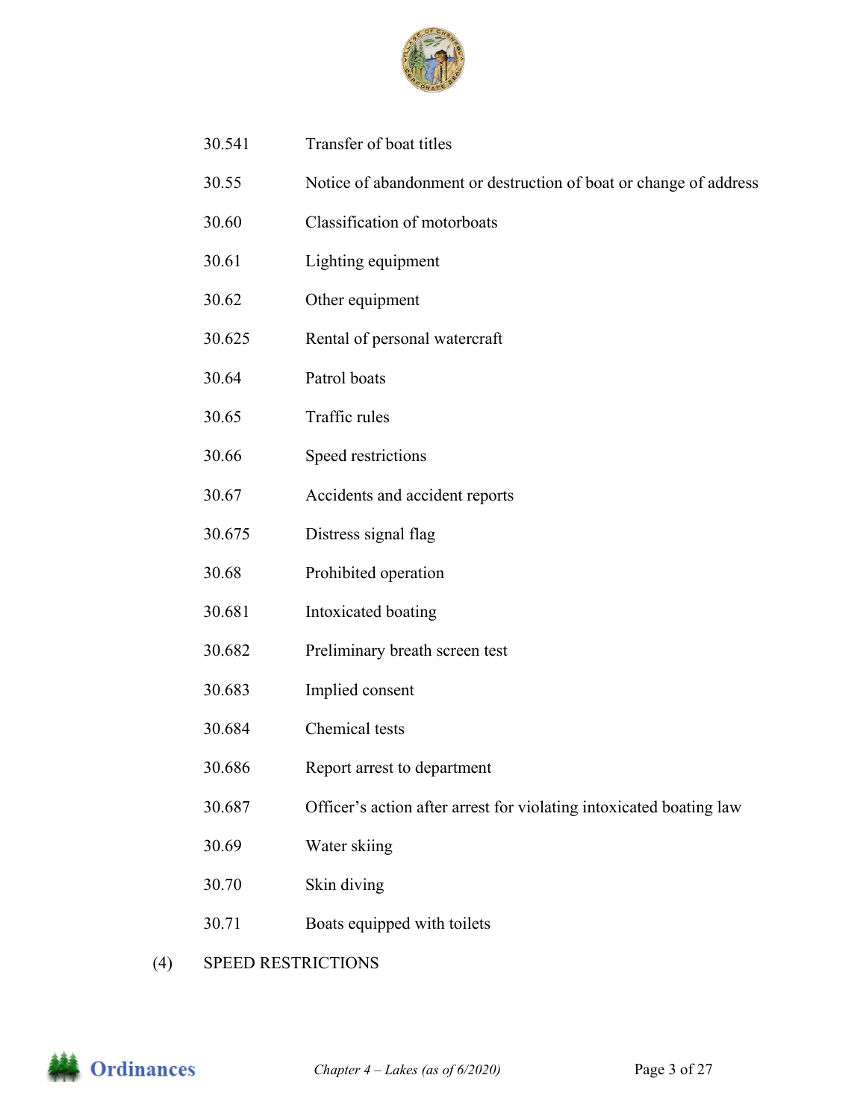

- 30.541 Transfer of boat titles
- 30.55 Notice of abandonment or destruction of boat or change of address
- 30.60 Classification of motorboats
- 30.61 Lighting equipment
- 30.62 Other equipment
- 30.625 Rental of personal watercraft
- 30.64 Patrol boats
- 30.65 Traffic rules
- 30.66 Speed restrictions
- 30.67 Accidents and accident reports
- 30.675 Distress signal flag
- 30.68 Prohibited operation
- 30.681 Intoxicated boating
- 30.682 Preliminary breath screen test
- 30.683 Implied consent
- 30.684 Chemical tests
- 30.686 Report arrest to department
- 30.687 Officer's action after arrest for violating intoxicated boating law
- 30.69 Water skiing
- 30.70 Skin diving
- 30.71 Boats equipped with toilets
- (4) SPEED RESTRICTIONS

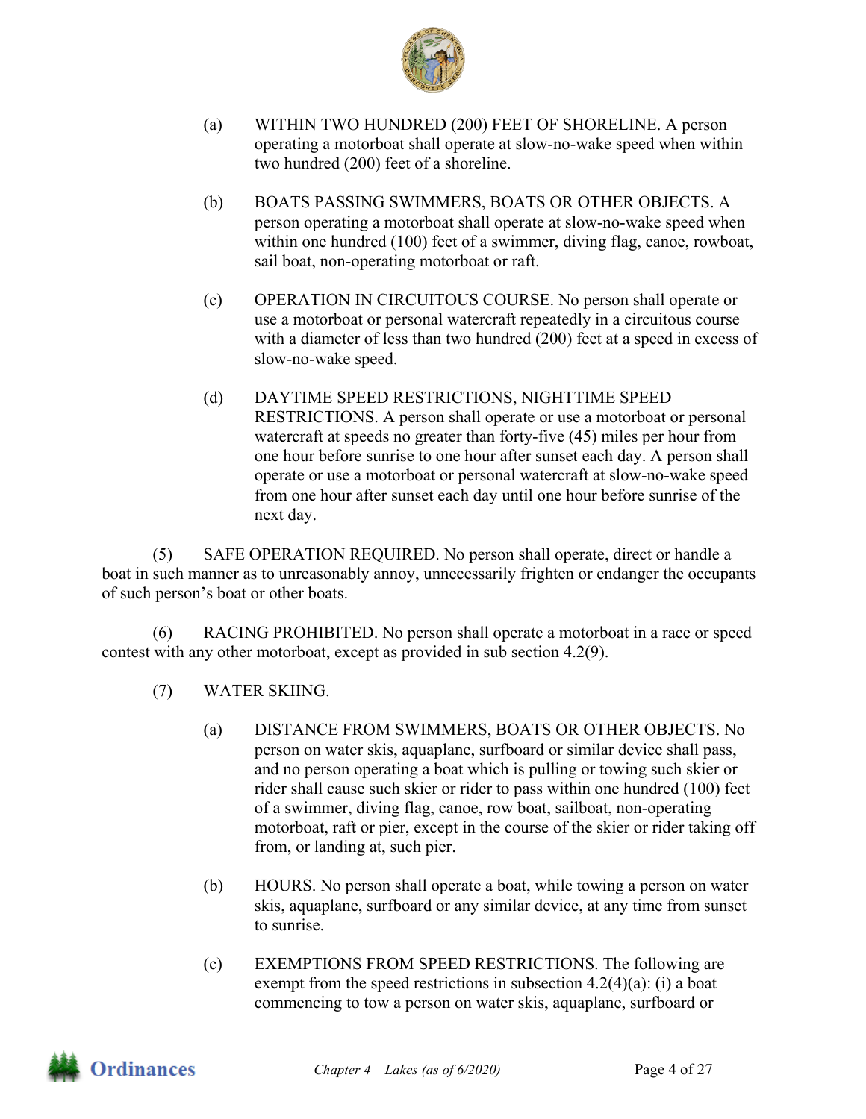

- (a) WITHIN TWO HUNDRED (200) FEET OF SHORELINE. A person operating a motorboat shall operate at slow-no-wake speed when within two hundred (200) feet of a shoreline.
- (b) BOATS PASSING SWIMMERS, BOATS OR OTHER OBJECTS. A person operating a motorboat shall operate at slow-no-wake speed when within one hundred (100) feet of a swimmer, diving flag, canoe, rowboat, sail boat, non-operating motorboat or raft.
- (c) OPERATION IN CIRCUITOUS COURSE. No person shall operate or use a motorboat or personal watercraft repeatedly in a circuitous course with a diameter of less than two hundred (200) feet at a speed in excess of slow-no-wake speed.
- (d) DAYTIME SPEED RESTRICTIONS, NIGHTTIME SPEED RESTRICTIONS. A person shall operate or use a motorboat or personal watercraft at speeds no greater than forty-five (45) miles per hour from one hour before sunrise to one hour after sunset each day. A person shall operate or use a motorboat or personal watercraft at slow-no-wake speed from one hour after sunset each day until one hour before sunrise of the next day.

(5) SAFE OPERATION REQUIRED. No person shall operate, direct or handle a boat in such manner as to unreasonably annoy, unnecessarily frighten or endanger the occupants of such person's boat or other boats.

(6) RACING PROHIBITED. No person shall operate a motorboat in a race or speed contest with any other motorboat, except as provided in sub section 4.2(9).

- (7) WATER SKIING.
	- (a) DISTANCE FROM SWIMMERS, BOATS OR OTHER OBJECTS. No person on water skis, aquaplane, surfboard or similar device shall pass, and no person operating a boat which is pulling or towing such skier or rider shall cause such skier or rider to pass within one hundred (100) feet of a swimmer, diving flag, canoe, row boat, sailboat, non-operating motorboat, raft or pier, except in the course of the skier or rider taking off from, or landing at, such pier.
	- (b) HOURS. No person shall operate a boat, while towing a person on water skis, aquaplane, surfboard or any similar device, at any time from sunset to sunrise.
	- (c) EXEMPTIONS FROM SPEED RESTRICTIONS. The following are exempt from the speed restrictions in subsection  $4.2(4)(a)$ : (i) a boat commencing to tow a person on water skis, aquaplane, surfboard or

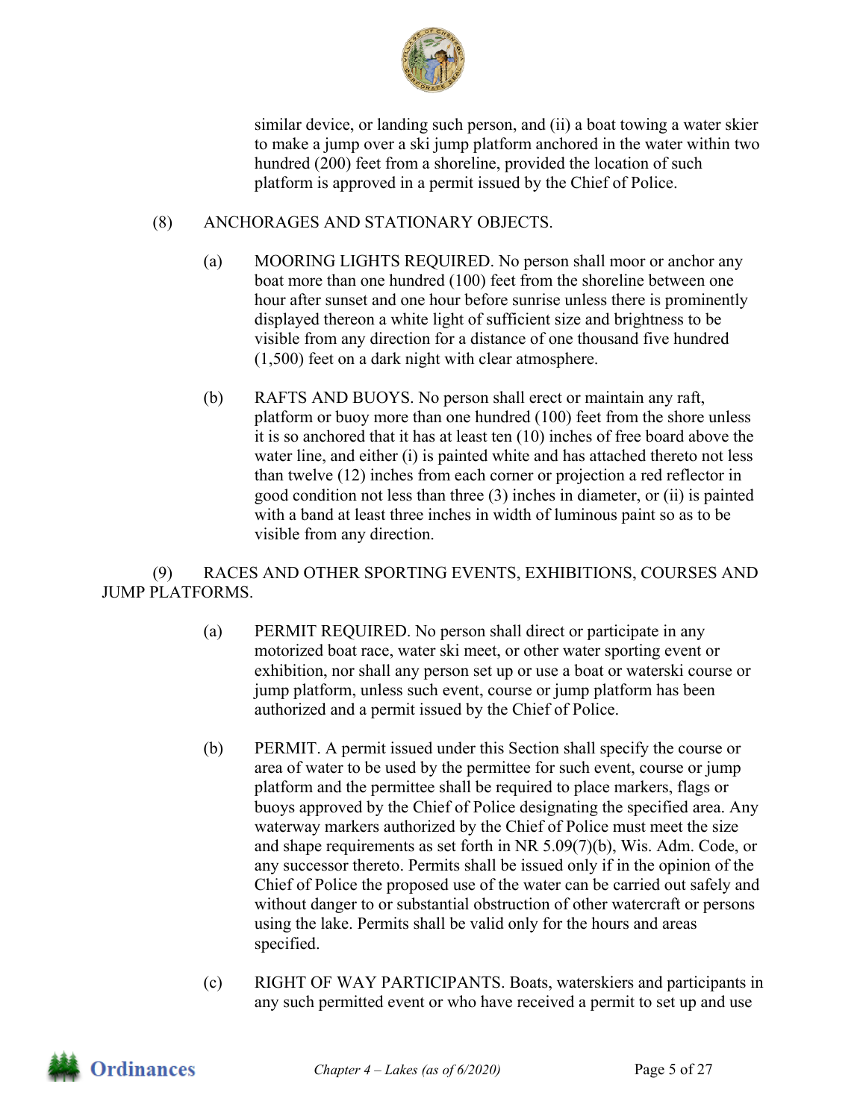

similar device, or landing such person, and (ii) a boat towing a water skier to make a jump over a ski jump platform anchored in the water within two hundred (200) feet from a shoreline, provided the location of such platform is approved in a permit issued by the Chief of Police.

#### (8) ANCHORAGES AND STATIONARY OBJECTS.

- (a) MOORING LIGHTS REQUIRED. No person shall moor or anchor any boat more than one hundred (100) feet from the shoreline between one hour after sunset and one hour before sunrise unless there is prominently displayed thereon a white light of sufficient size and brightness to be visible from any direction for a distance of one thousand five hundred (1,500) feet on a dark night with clear atmosphere.
- (b) RAFTS AND BUOYS. No person shall erect or maintain any raft, platform or buoy more than one hundred (100) feet from the shore unless it is so anchored that it has at least ten (10) inches of free board above the water line, and either (i) is painted white and has attached thereto not less than twelve (12) inches from each corner or projection a red reflector in good condition not less than three (3) inches in diameter, or (ii) is painted with a band at least three inches in width of luminous paint so as to be visible from any direction.

(9) RACES AND OTHER SPORTING EVENTS, EXHIBITIONS, COURSES AND JUMP PLATFORMS.

- (a) PERMIT REQUIRED. No person shall direct or participate in any motorized boat race, water ski meet, or other water sporting event or exhibition, nor shall any person set up or use a boat or waterski course or jump platform, unless such event, course or jump platform has been authorized and a permit issued by the Chief of Police.
- (b) PERMIT. A permit issued under this Section shall specify the course or area of water to be used by the permittee for such event, course or jump platform and the permittee shall be required to place markers, flags or buoys approved by the Chief of Police designating the specified area. Any waterway markers authorized by the Chief of Police must meet the size and shape requirements as set forth in NR 5.09(7)(b), Wis. Adm. Code, or any successor thereto. Permits shall be issued only if in the opinion of the Chief of Police the proposed use of the water can be carried out safely and without danger to or substantial obstruction of other watercraft or persons using the lake. Permits shall be valid only for the hours and areas specified.
- (c) RIGHT OF WAY PARTICIPANTS. Boats, waterskiers and participants in any such permitted event or who have received a permit to set up and use

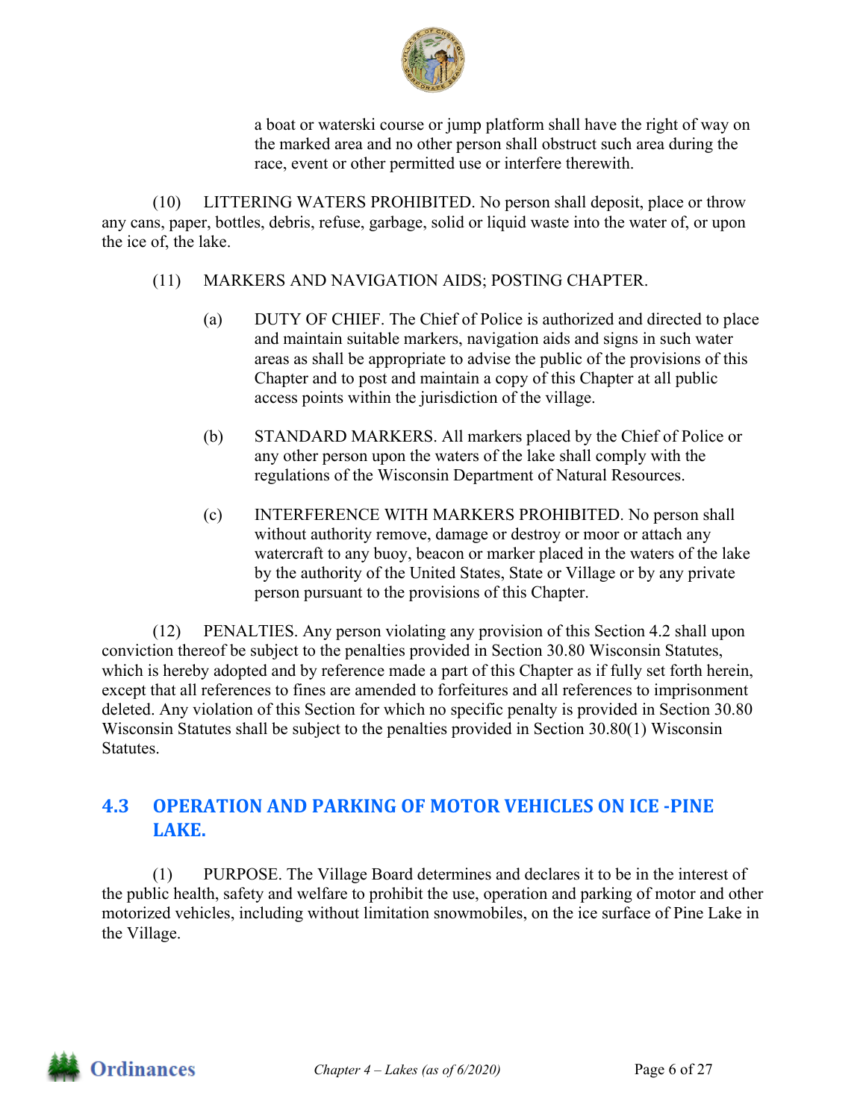

a boat or waterski course or jump platform shall have the right of way on the marked area and no other person shall obstruct such area during the race, event or other permitted use or interfere therewith.

(10) LITTERING WATERS PROHIBITED. No person shall deposit, place or throw any cans, paper, bottles, debris, refuse, garbage, solid or liquid waste into the water of, or upon the ice of, the lake.

- (11) MARKERS AND NAVIGATION AIDS; POSTING CHAPTER.
	- (a) DUTY OF CHIEF. The Chief of Police is authorized and directed to place and maintain suitable markers, navigation aids and signs in such water areas as shall be appropriate to advise the public of the provisions of this Chapter and to post and maintain a copy of this Chapter at all public access points within the jurisdiction of the village.
	- (b) STANDARD MARKERS. All markers placed by the Chief of Police or any other person upon the waters of the lake shall comply with the regulations of the Wisconsin Department of Natural Resources.
	- (c) INTERFERENCE WITH MARKERS PROHIBITED. No person shall without authority remove, damage or destroy or moor or attach any watercraft to any buoy, beacon or marker placed in the waters of the lake by the authority of the United States, State or Village or by any private person pursuant to the provisions of this Chapter.

(12) PENALTIES. Any person violating any provision of this Section 4.2 shall upon conviction thereof be subject to the penalties provided in Section 30.80 Wisconsin Statutes, which is hereby adopted and by reference made a part of this Chapter as if fully set forth herein, except that all references to fines are amended to forfeitures and all references to imprisonment deleted. Any violation of this Section for which no specific penalty is provided in Section 30.80 Wisconsin Statutes shall be subject to the penalties provided in Section 30.80(1) Wisconsin Statutes.

# **4.3 OPERATION AND PARKING OF MOTOR VEHICLES ON ICE ‐PINE LAKE.**

(1) PURPOSE. The Village Board determines and declares it to be in the interest of the public health, safety and welfare to prohibit the use, operation and parking of motor and other motorized vehicles, including without limitation snowmobiles, on the ice surface of Pine Lake in the Village.

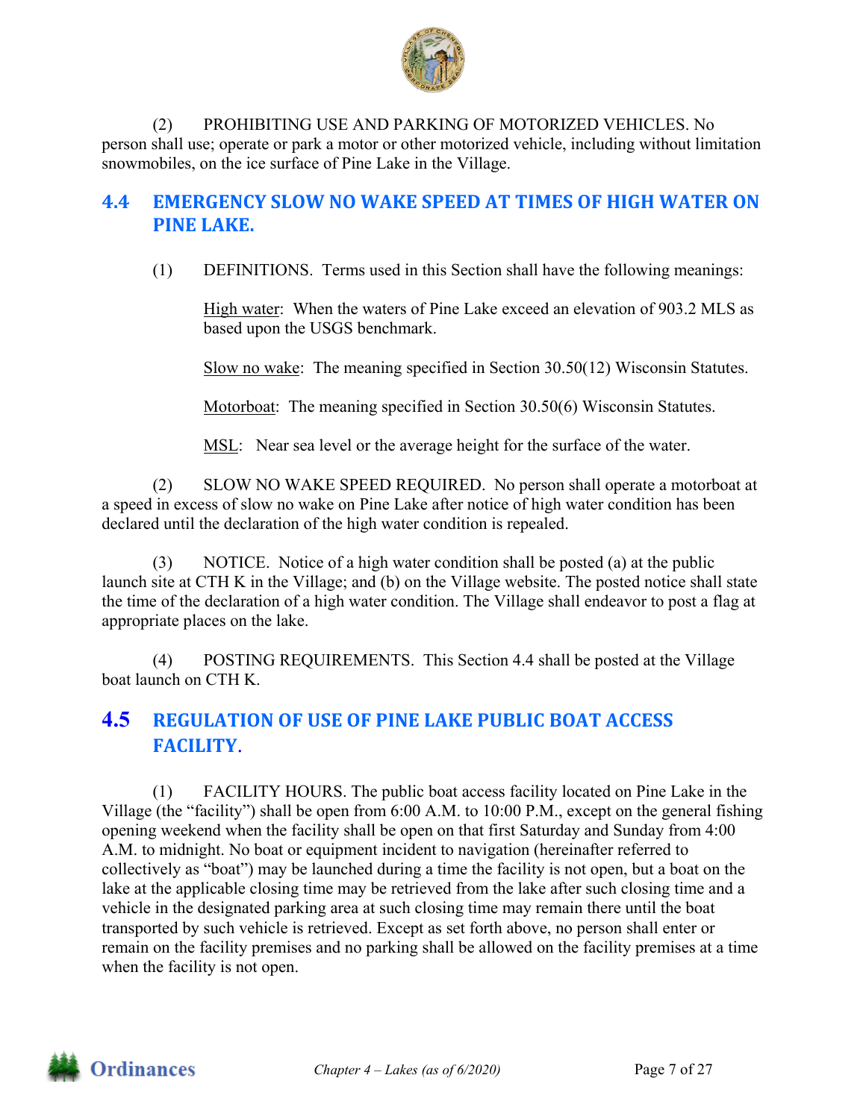

(2) PROHIBITING USE AND PARKING OF MOTORIZED VEHICLES. No person shall use; operate or park a motor or other motorized vehicle, including without limitation snowmobiles, on the ice surface of Pine Lake in the Village.

# **4.4 EMERGENCY SLOW NO WAKE SPEED AT TIMES OF HIGH WATER ON PINE LAKE.**

(1) DEFINITIONS. Terms used in this Section shall have the following meanings:

High water: When the waters of Pine Lake exceed an elevation of 903.2 MLS as based upon the USGS benchmark.

Slow no wake: The meaning specified in Section 30.50(12) Wisconsin Statutes.

Motorboat: The meaning specified in Section 30.50(6) Wisconsin Statutes.

MSL: Near sea level or the average height for the surface of the water.

(2) SLOW NO WAKE SPEED REQUIRED. No person shall operate a motorboat at a speed in excess of slow no wake on Pine Lake after notice of high water condition has been declared until the declaration of the high water condition is repealed.

(3) NOTICE. Notice of a high water condition shall be posted (a) at the public launch site at CTH K in the Village; and (b) on the Village website. The posted notice shall state the time of the declaration of a high water condition. The Village shall endeavor to post a flag at appropriate places on the lake.

(4) POSTING REQUIREMENTS. This Section 4.4 shall be posted at the Village boat launch on CTH K.

# **4.5 REGULATION OF USE OF PINE LAKE PUBLIC BOAT ACCESS FACILITY**.

(1) FACILITY HOURS. The public boat access facility located on Pine Lake in the Village (the "facility") shall be open from 6:00 A.M. to 10:00 P.M., except on the general fishing opening weekend when the facility shall be open on that first Saturday and Sunday from 4:00 A.M. to midnight. No boat or equipment incident to navigation (hereinafter referred to collectively as "boat") may be launched during a time the facility is not open, but a boat on the lake at the applicable closing time may be retrieved from the lake after such closing time and a vehicle in the designated parking area at such closing time may remain there until the boat transported by such vehicle is retrieved. Except as set forth above, no person shall enter or remain on the facility premises and no parking shall be allowed on the facility premises at a time when the facility is not open.

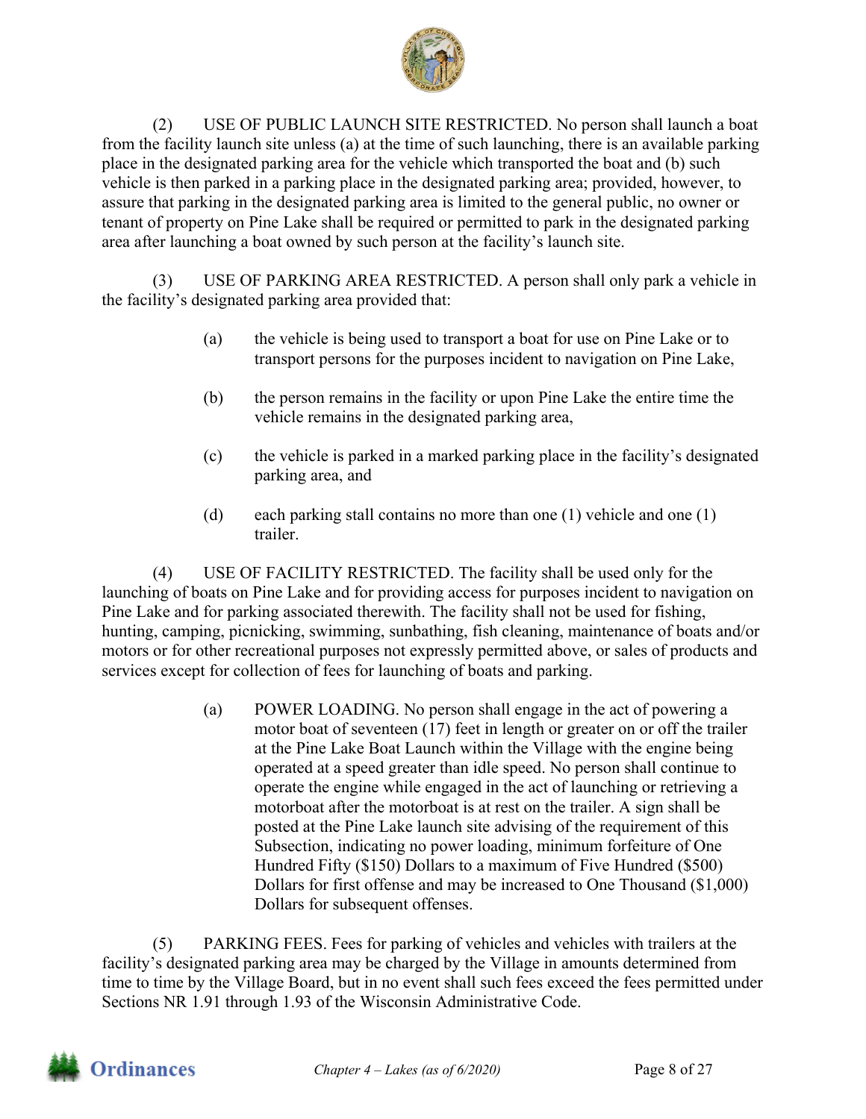

(2) USE OF PUBLIC LAUNCH SITE RESTRICTED. No person shall launch a boat from the facility launch site unless (a) at the time of such launching, there is an available parking place in the designated parking area for the vehicle which transported the boat and (b) such vehicle is then parked in a parking place in the designated parking area; provided, however, to assure that parking in the designated parking area is limited to the general public, no owner or tenant of property on Pine Lake shall be required or permitted to park in the designated parking area after launching a boat owned by such person at the facility's launch site.

(3) USE OF PARKING AREA RESTRICTED. A person shall only park a vehicle in the facility's designated parking area provided that:

- (a) the vehicle is being used to transport a boat for use on Pine Lake or to transport persons for the purposes incident to navigation on Pine Lake,
- (b) the person remains in the facility or upon Pine Lake the entire time the vehicle remains in the designated parking area,
- (c) the vehicle is parked in a marked parking place in the facility's designated parking area, and
- (d) each parking stall contains no more than one (1) vehicle and one (1) trailer.

(4) USE OF FACILITY RESTRICTED. The facility shall be used only for the launching of boats on Pine Lake and for providing access for purposes incident to navigation on Pine Lake and for parking associated therewith. The facility shall not be used for fishing, hunting, camping, picnicking, swimming, sunbathing, fish cleaning, maintenance of boats and/or motors or for other recreational purposes not expressly permitted above, or sales of products and services except for collection of fees for launching of boats and parking.

> (a) POWER LOADING. No person shall engage in the act of powering a motor boat of seventeen (17) feet in length or greater on or off the trailer at the Pine Lake Boat Launch within the Village with the engine being operated at a speed greater than idle speed. No person shall continue to operate the engine while engaged in the act of launching or retrieving a motorboat after the motorboat is at rest on the trailer. A sign shall be posted at the Pine Lake launch site advising of the requirement of this Subsection, indicating no power loading, minimum forfeiture of One Hundred Fifty (\$150) Dollars to a maximum of Five Hundred (\$500) Dollars for first offense and may be increased to One Thousand (\$1,000) Dollars for subsequent offenses.

(5) PARKING FEES. Fees for parking of vehicles and vehicles with trailers at the facility's designated parking area may be charged by the Village in amounts determined from time to time by the Village Board, but in no event shall such fees exceed the fees permitted under Sections NR 1.91 through 1.93 of the Wisconsin Administrative Code.

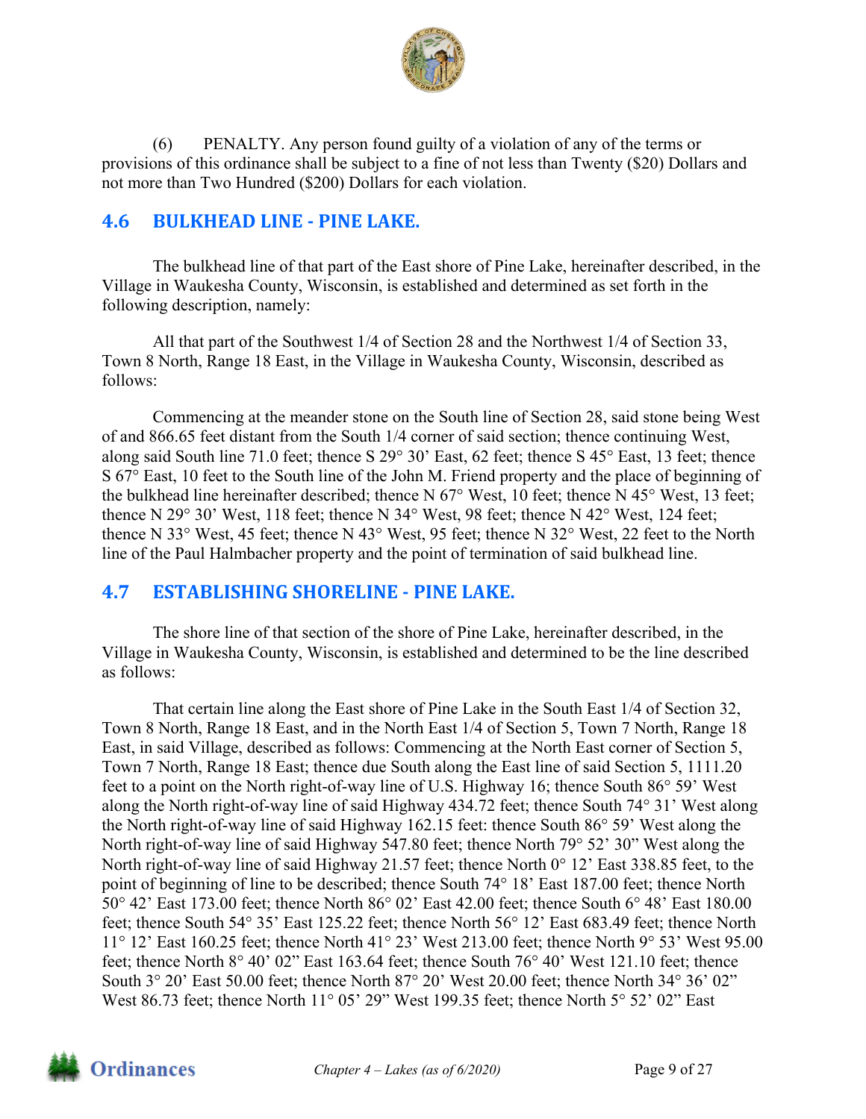

(6) PENALTY. Any person found guilty of a violation of any of the terms or provisions of this ordinance shall be subject to a fine of not less than Twenty (\$20) Dollars and not more than Two Hundred (\$200) Dollars for each violation.

## **4.6 BULKHEAD LINE ‐ PINE LAKE.**

The bulkhead line of that part of the East shore of Pine Lake, hereinafter described, in the Village in Waukesha County, Wisconsin, is established and determined as set forth in the following description, namely:

All that part of the Southwest 1/4 of Section 28 and the Northwest 1/4 of Section 33, Town 8 North, Range 18 East, in the Village in Waukesha County, Wisconsin, described as follows:

Commencing at the meander stone on the South line of Section 28, said stone being West of and 866.65 feet distant from the South 1/4 corner of said section; thence continuing West, along said South line 71.0 feet; thence S 29° 30' East, 62 feet; thence S 45° East, 13 feet; thence S 67° East, 10 feet to the South line of the John M. Friend property and the place of beginning of the bulkhead line hereinafter described; thence N 67° West, 10 feet; thence N 45° West, 13 feet; thence N 29° 30' West, 118 feet; thence N 34° West, 98 feet; thence N 42° West, 124 feet; thence N 33° West, 45 feet; thence N 43° West, 95 feet; thence N 32° West, 22 feet to the North line of the Paul Halmbacher property and the point of termination of said bulkhead line.

## **4.7 ESTABLISHING SHORELINE ‐ PINE LAKE.**

The shore line of that section of the shore of Pine Lake, hereinafter described, in the Village in Waukesha County, Wisconsin, is established and determined to be the line described as follows:

That certain line along the East shore of Pine Lake in the South East 1/4 of Section 32, Town 8 North, Range 18 East, and in the North East 1/4 of Section 5, Town 7 North, Range 18 East, in said Village, described as follows: Commencing at the North East corner of Section 5, Town 7 North, Range 18 East; thence due South along the East line of said Section 5, 1111.20 feet to a point on the North right-of-way line of U.S. Highway 16; thence South 86° 59' West along the North right-of-way line of said Highway 434.72 feet; thence South 74° 31' West along the North right-of-way line of said Highway 162.15 feet: thence South 86° 59' West along the North right-of-way line of said Highway 547.80 feet; thence North 79° 52' 30" West along the North right-of-way line of said Highway 21.57 feet; thence North 0° 12' East 338.85 feet, to the point of beginning of line to be described; thence South 74° 18' East 187.00 feet; thence North 50° 42' East 173.00 feet; thence North 86° 02' East 42.00 feet; thence South 6° 48' East 180.00 feet; thence South 54° 35' East 125.22 feet; thence North 56° 12' East 683.49 feet; thence North 11° 12' East 160.25 feet; thence North 41° 23' West 213.00 feet; thence North 9° 53' West 95.00 feet; thence North 8° 40' 02" East 163.64 feet; thence South 76° 40' West 121.10 feet; thence South  $3^{\circ}$  20' East 50.00 feet; thence North  $87^{\circ}$  20' West 20.00 feet; thence North  $34^{\circ}$  36' 02" West 86.73 feet; thence North 11° 05' 29" West 199.35 feet; thence North 5° 52' 02" East

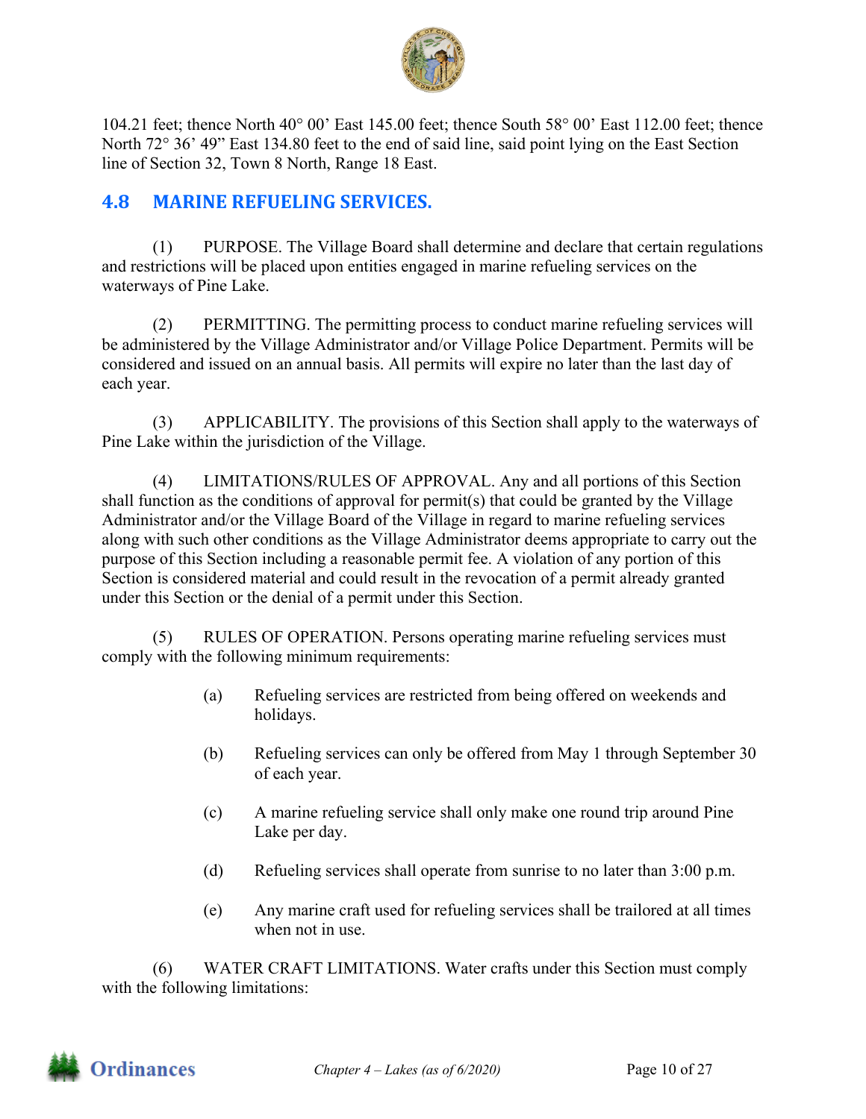

104.21 feet; thence North 40° 00' East 145.00 feet; thence South 58° 00' East 112.00 feet; thence North 72° 36' 49" East 134.80 feet to the end of said line, said point lying on the East Section line of Section 32, Town 8 North, Range 18 East.

## **4.8 MARINE REFUELING SERVICES.**

(1) PURPOSE. The Village Board shall determine and declare that certain regulations and restrictions will be placed upon entities engaged in marine refueling services on the waterways of Pine Lake.

(2) PERMITTING. The permitting process to conduct marine refueling services will be administered by the Village Administrator and/or Village Police Department. Permits will be considered and issued on an annual basis. All permits will expire no later than the last day of each year.

(3) APPLICABILITY. The provisions of this Section shall apply to the waterways of Pine Lake within the jurisdiction of the Village.

(4) LIMITATIONS/RULES OF APPROVAL. Any and all portions of this Section shall function as the conditions of approval for permit(s) that could be granted by the Village Administrator and/or the Village Board of the Village in regard to marine refueling services along with such other conditions as the Village Administrator deems appropriate to carry out the purpose of this Section including a reasonable permit fee. A violation of any portion of this Section is considered material and could result in the revocation of a permit already granted under this Section or the denial of a permit under this Section.

(5) RULES OF OPERATION. Persons operating marine refueling services must comply with the following minimum requirements:

- (a) Refueling services are restricted from being offered on weekends and holidays.
- (b) Refueling services can only be offered from May 1 through September 30 of each year.
- (c) A marine refueling service shall only make one round trip around Pine Lake per day.
- (d) Refueling services shall operate from sunrise to no later than 3:00 p.m.
- (e) Any marine craft used for refueling services shall be trailored at all times when not in use.

(6) WATER CRAFT LIMITATIONS. Water crafts under this Section must comply with the following limitations:

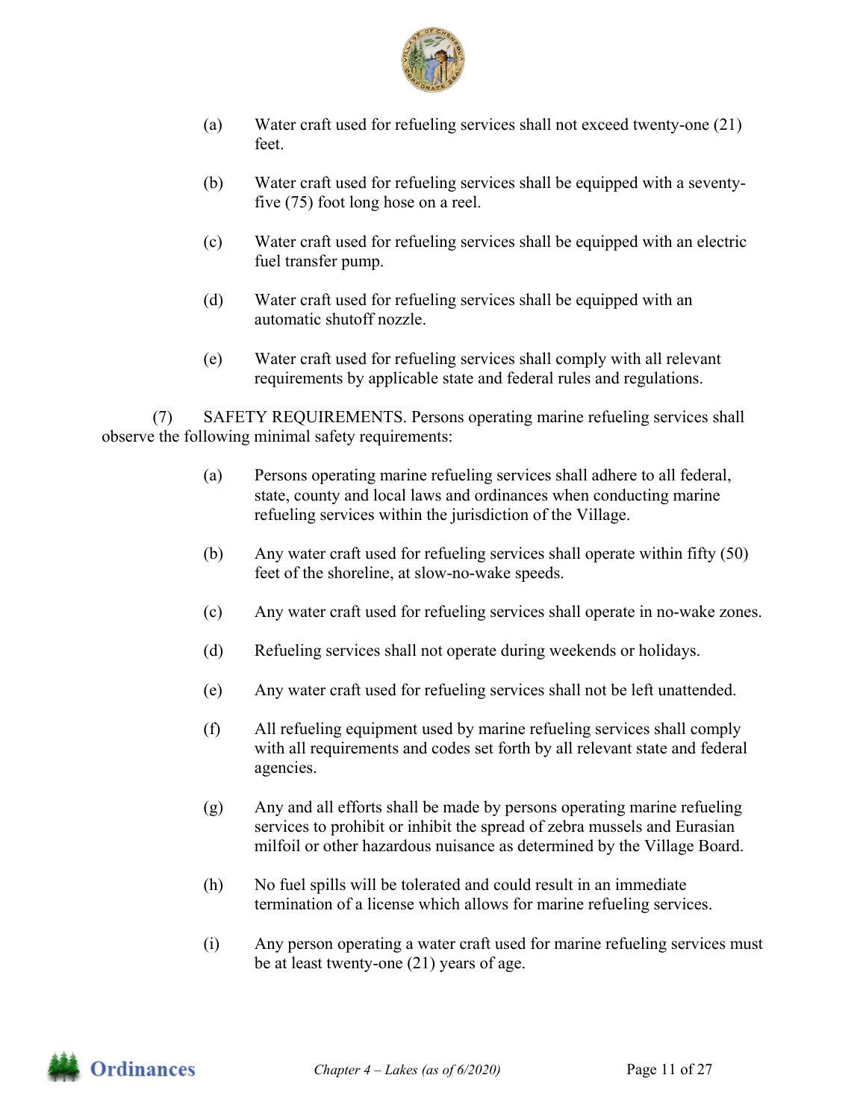

- (a) Water craft used for refueling services shall not exceed twenty-one (21) feet.
- (b) Water craft used for refueling services shall be equipped with a seventyfive (75) foot long hose on a reel.
- (c) Water craft used for refueling services shall be equipped with an electric fuel transfer pump.
- (d) Water craft used for refueling services shall be equipped with an automatic shutoff nozzle.
- (e) Water craft used for refueling services shall comply with all relevant requirements by applicable state and federal rules and regulations.

(7) SAFETY REQUIREMENTS. Persons operating marine refueling services shall observe the following minimal safety requirements:

- (a) Persons operating marine refueling services shall adhere to all federal, state, county and local laws and ordinances when conducting marine refueling services within the jurisdiction of the Village.
- (b) Any water craft used for refueling services shall operate within fifty (50) feet of the shoreline, at slow-no-wake speeds.
- (c) Any water craft used for refueling services shall operate in no-wake zones.
- (d) Refueling services shall not operate during weekends or holidays.
- (e) Any water craft used for refueling services shall not be left unattended.
- (f) All refueling equipment used by marine refueling services shall comply with all requirements and codes set forth by all relevant state and federal agencies.
- (g) Any and all efforts shall be made by persons operating marine refueling services to prohibit or inhibit the spread of zebra mussels and Eurasian milfoil or other hazardous nuisance as determined by the Village Board.
- (h) No fuel spills will be tolerated and could result in an immediate termination of a license which allows for marine refueling services.
- (i) Any person operating a water craft used for marine refueling services must be at least twenty-one (21) years of age.

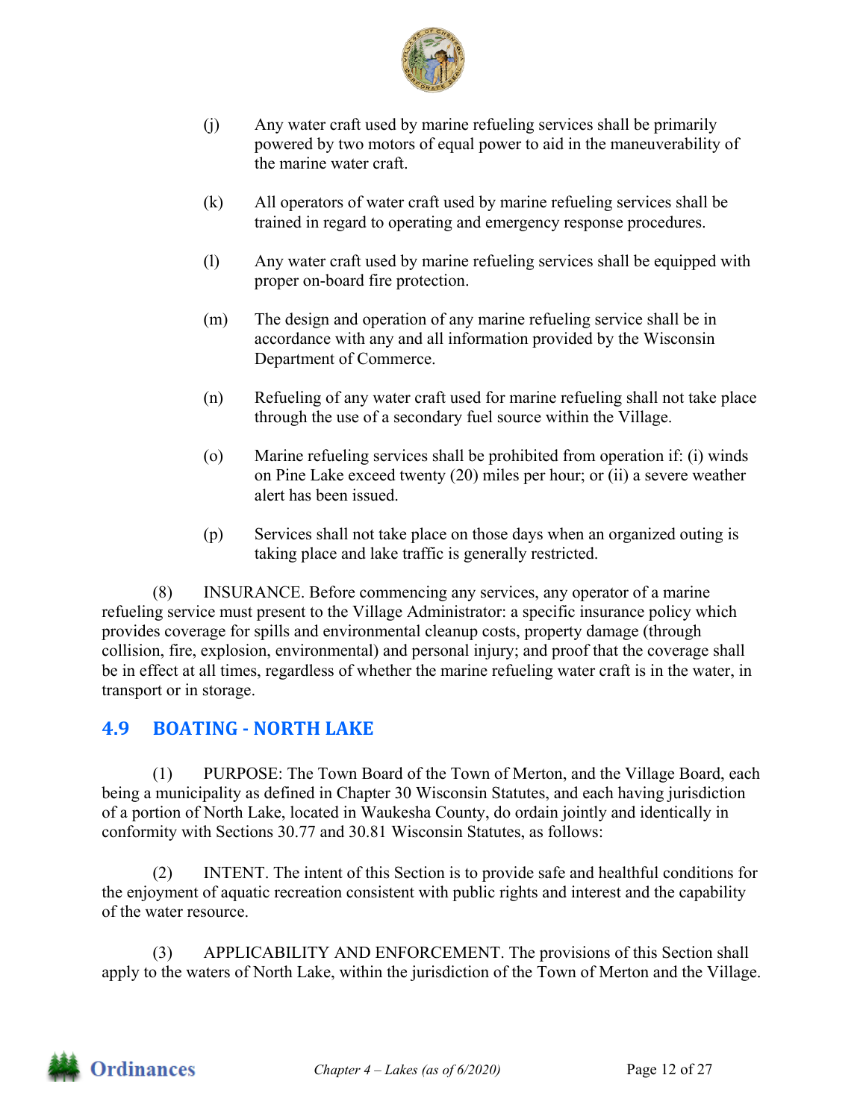

- (j) Any water craft used by marine refueling services shall be primarily powered by two motors of equal power to aid in the maneuverability of the marine water craft.
- (k) All operators of water craft used by marine refueling services shall be trained in regard to operating and emergency response procedures.
- (l) Any water craft used by marine refueling services shall be equipped with proper on-board fire protection.
- (m) The design and operation of any marine refueling service shall be in accordance with any and all information provided by the Wisconsin Department of Commerce.
- (n) Refueling of any water craft used for marine refueling shall not take place through the use of a secondary fuel source within the Village.
- (o) Marine refueling services shall be prohibited from operation if: (i) winds on Pine Lake exceed twenty (20) miles per hour; or (ii) a severe weather alert has been issued.
- (p) Services shall not take place on those days when an organized outing is taking place and lake traffic is generally restricted.

(8) INSURANCE. Before commencing any services, any operator of a marine refueling service must present to the Village Administrator: a specific insurance policy which provides coverage for spills and environmental cleanup costs, property damage (through collision, fire, explosion, environmental) and personal injury; and proof that the coverage shall be in effect at all times, regardless of whether the marine refueling water craft is in the water, in transport or in storage.

## **4.9 BOATING ‐ NORTH LAKE**

(1) PURPOSE: The Town Board of the Town of Merton, and the Village Board, each being a municipality as defined in Chapter 30 Wisconsin Statutes, and each having jurisdiction of a portion of North Lake, located in Waukesha County, do ordain jointly and identically in conformity with Sections 30.77 and 30.81 Wisconsin Statutes, as follows:

(2) INTENT. The intent of this Section is to provide safe and healthful conditions for the enjoyment of aquatic recreation consistent with public rights and interest and the capability of the water resource.

(3) APPLICABILITY AND ENFORCEMENT. The provisions of this Section shall apply to the waters of North Lake, within the jurisdiction of the Town of Merton and the Village.

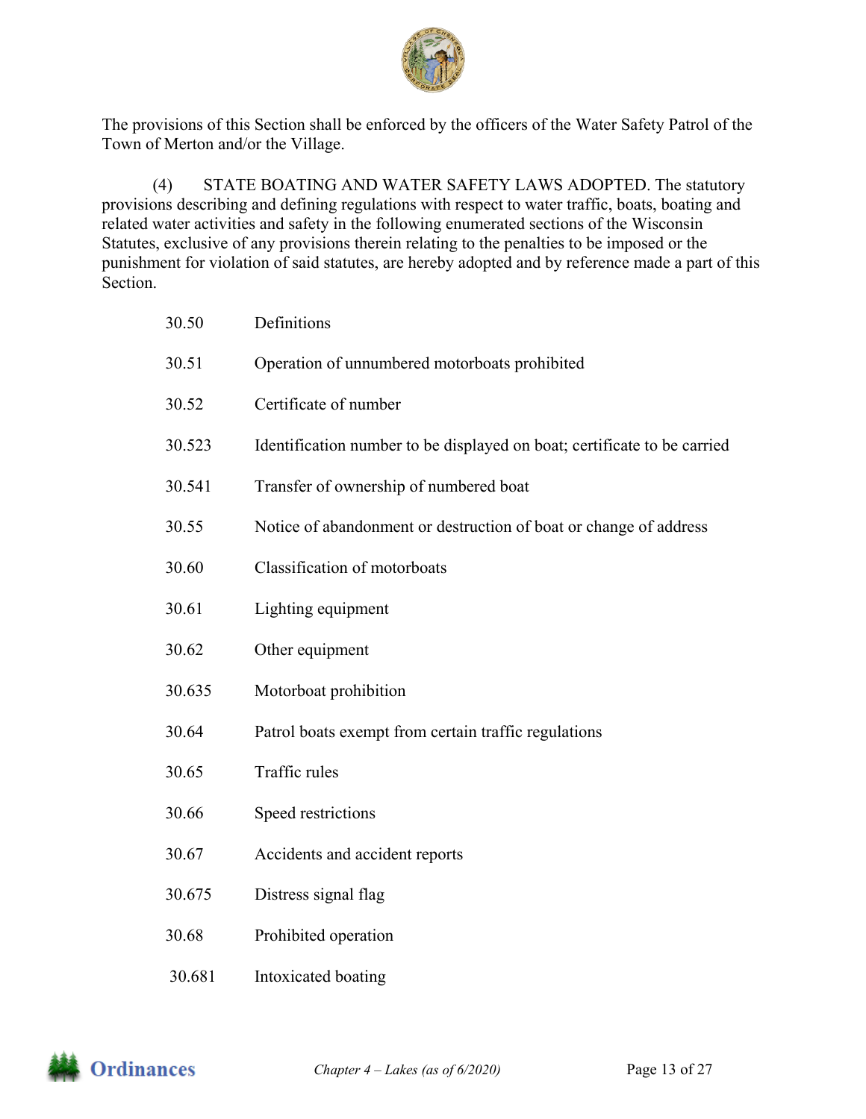

The provisions of this Section shall be enforced by the officers of the Water Safety Patrol of the Town of Merton and/or the Village.

(4) STATE BOATING AND WATER SAFETY LAWS ADOPTED. The statutory provisions describing and defining regulations with respect to water traffic, boats, boating and related water activities and safety in the following enumerated sections of the Wisconsin Statutes, exclusive of any provisions therein relating to the penalties to be imposed or the punishment for violation of said statutes, are hereby adopted and by reference made a part of this Section.

| 30.50  | Definitions                                                              |
|--------|--------------------------------------------------------------------------|
| 30.51  | Operation of unnumbered motorboats prohibited                            |
| 30.52  | Certificate of number                                                    |
| 30.523 | Identification number to be displayed on boat; certificate to be carried |
| 30.541 | Transfer of ownership of numbered boat                                   |
| 30.55  | Notice of abandonment or destruction of boat or change of address        |
| 30.60  | Classification of motorboats                                             |
| 30.61  | Lighting equipment                                                       |
| 30.62  | Other equipment                                                          |
| 30.635 | Motorboat prohibition                                                    |
| 30.64  | Patrol boats exempt from certain traffic regulations                     |
| 30.65  | Traffic rules                                                            |
| 30.66  | Speed restrictions                                                       |
| 30.67  | Accidents and accident reports                                           |
| 30.675 | Distress signal flag                                                     |
| 30.68  | Prohibited operation                                                     |
| 30.681 | Intoxicated boating                                                      |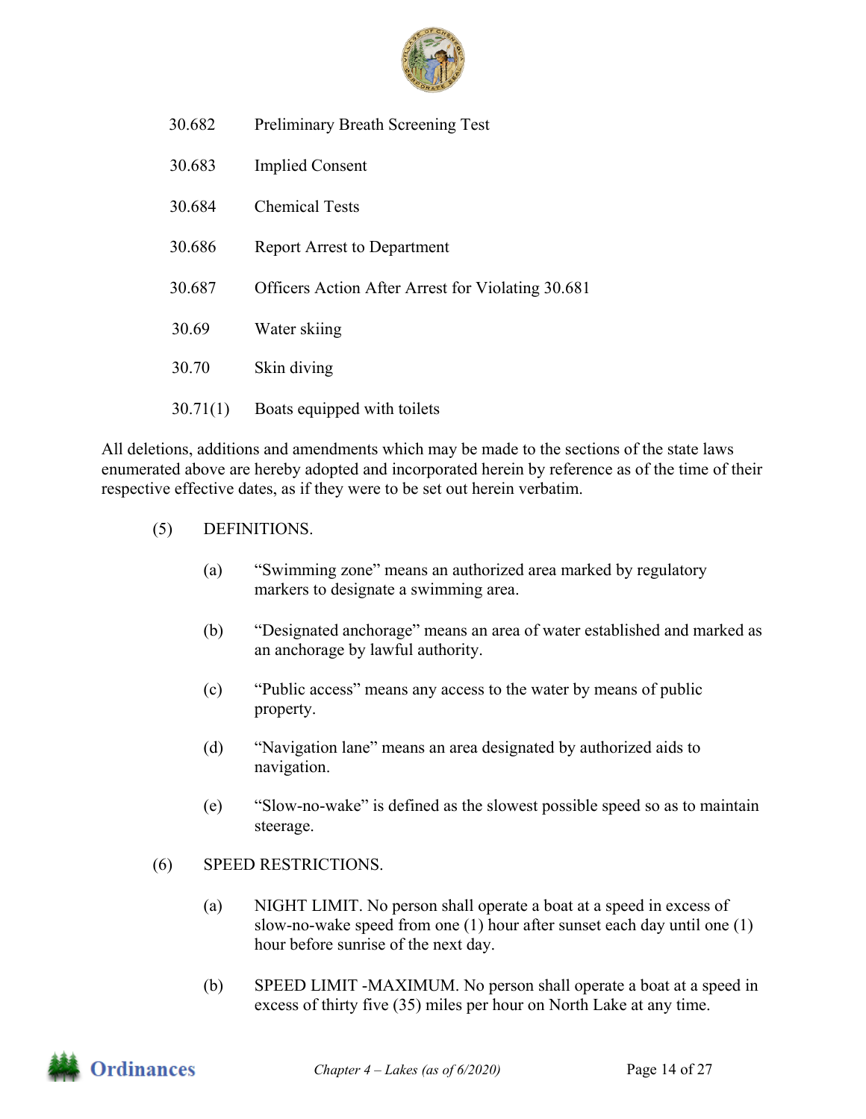

- 30.682 Preliminary Breath Screening Test
- 30.683 Implied Consent
- 30.684 Chemical Tests
- 30.686 Report Arrest to Department
- 30.687 Officers Action After Arrest for Violating 30.681
- 30.69 Water skiing
- 30.70 Skin diving
- 30.71(1) Boats equipped with toilets

All deletions, additions and amendments which may be made to the sections of the state laws enumerated above are hereby adopted and incorporated herein by reference as of the time of their respective effective dates, as if they were to be set out herein verbatim.

- (5) DEFINITIONS.
	- (a) "Swimming zone" means an authorized area marked by regulatory markers to designate a swimming area.
	- (b) "Designated anchorage" means an area of water established and marked as an anchorage by lawful authority.
	- (c) "Public access" means any access to the water by means of public property.
	- (d) "Navigation lane" means an area designated by authorized aids to navigation.
	- (e) "Slow-no-wake" is defined as the slowest possible speed so as to maintain steerage.
- (6) SPEED RESTRICTIONS.
	- (a) NIGHT LIMIT. No person shall operate a boat at a speed in excess of slow-no-wake speed from one (1) hour after sunset each day until one (1) hour before sunrise of the next day.
	- (b) SPEED LIMIT -MAXIMUM. No person shall operate a boat at a speed in excess of thirty five (35) miles per hour on North Lake at any time.

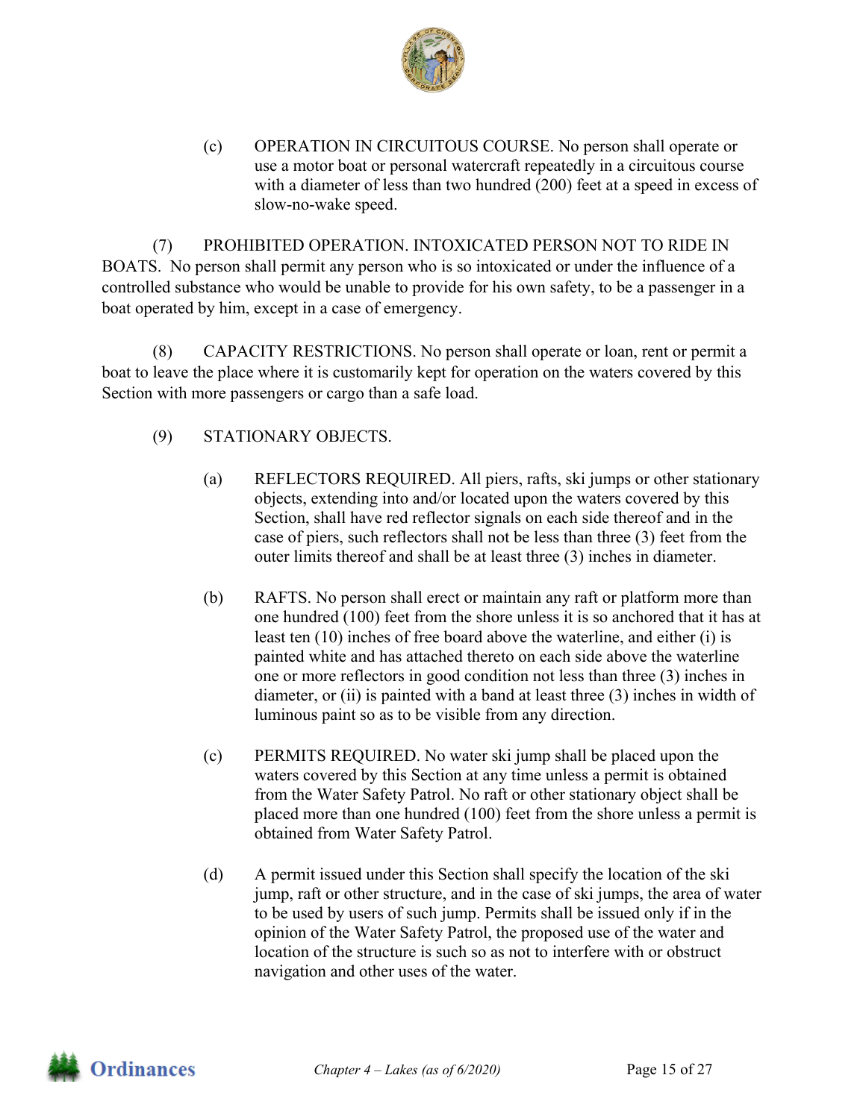

(c) OPERATION IN CIRCUITOUS COURSE. No person shall operate or use a motor boat or personal watercraft repeatedly in a circuitous course with a diameter of less than two hundred (200) feet at a speed in excess of slow-no-wake speed.

(7) PROHIBITED OPERATION. INTOXICATED PERSON NOT TO RIDE IN BOATS. No person shall permit any person who is so intoxicated or under the influence of a controlled substance who would be unable to provide for his own safety, to be a passenger in a boat operated by him, except in a case of emergency.

(8) CAPACITY RESTRICTIONS. No person shall operate or loan, rent or permit a boat to leave the place where it is customarily kept for operation on the waters covered by this Section with more passengers or cargo than a safe load.

- (9) STATIONARY OBJECTS.
	- (a) REFLECTORS REQUIRED. All piers, rafts, ski jumps or other stationary objects, extending into and/or located upon the waters covered by this Section, shall have red reflector signals on each side thereof and in the case of piers, such reflectors shall not be less than three (3) feet from the outer limits thereof and shall be at least three (3) inches in diameter.
	- (b) RAFTS. No person shall erect or maintain any raft or platform more than one hundred (100) feet from the shore unless it is so anchored that it has at least ten (10) inches of free board above the waterline, and either (i) is painted white and has attached thereto on each side above the waterline one or more reflectors in good condition not less than three (3) inches in diameter, or (ii) is painted with a band at least three (3) inches in width of luminous paint so as to be visible from any direction.
	- (c) PERMITS REQUIRED. No water ski jump shall be placed upon the waters covered by this Section at any time unless a permit is obtained from the Water Safety Patrol. No raft or other stationary object shall be placed more than one hundred (100) feet from the shore unless a permit is obtained from Water Safety Patrol.
	- (d) A permit issued under this Section shall specify the location of the ski jump, raft or other structure, and in the case of ski jumps, the area of water to be used by users of such jump. Permits shall be issued only if in the opinion of the Water Safety Patrol, the proposed use of the water and location of the structure is such so as not to interfere with or obstruct navigation and other uses of the water.

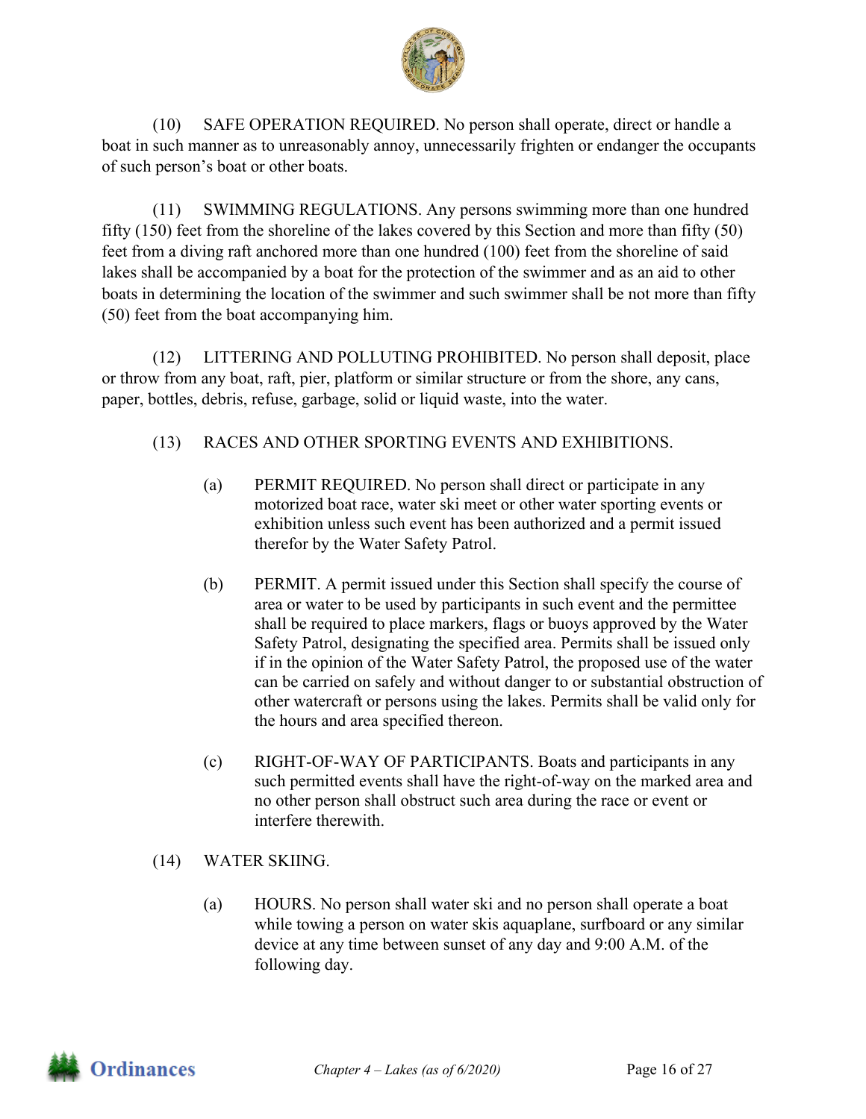

(10) SAFE OPERATION REQUIRED. No person shall operate, direct or handle a boat in such manner as to unreasonably annoy, unnecessarily frighten or endanger the occupants of such person's boat or other boats.

(11) SWIMMING REGULATIONS. Any persons swimming more than one hundred fifty (150) feet from the shoreline of the lakes covered by this Section and more than fifty (50) feet from a diving raft anchored more than one hundred (100) feet from the shoreline of said lakes shall be accompanied by a boat for the protection of the swimmer and as an aid to other boats in determining the location of the swimmer and such swimmer shall be not more than fifty (50) feet from the boat accompanying him.

(12) LITTERING AND POLLUTING PROHIBITED. No person shall deposit, place or throw from any boat, raft, pier, platform or similar structure or from the shore, any cans, paper, bottles, debris, refuse, garbage, solid or liquid waste, into the water.

### (13) RACES AND OTHER SPORTING EVENTS AND EXHIBITIONS.

- (a) PERMIT REQUIRED. No person shall direct or participate in any motorized boat race, water ski meet or other water sporting events or exhibition unless such event has been authorized and a permit issued therefor by the Water Safety Patrol.
- (b) PERMIT. A permit issued under this Section shall specify the course of area or water to be used by participants in such event and the permittee shall be required to place markers, flags or buoys approved by the Water Safety Patrol, designating the specified area. Permits shall be issued only if in the opinion of the Water Safety Patrol, the proposed use of the water can be carried on safely and without danger to or substantial obstruction of other watercraft or persons using the lakes. Permits shall be valid only for the hours and area specified thereon.
- (c) RIGHT-OF-WAY OF PARTICIPANTS. Boats and participants in any such permitted events shall have the right-of-way on the marked area and no other person shall obstruct such area during the race or event or interfere therewith.
- (14) WATER SKIING.
	- (a) HOURS. No person shall water ski and no person shall operate a boat while towing a person on water skis aquaplane, surfboard or any similar device at any time between sunset of any day and 9:00 A.M. of the following day.

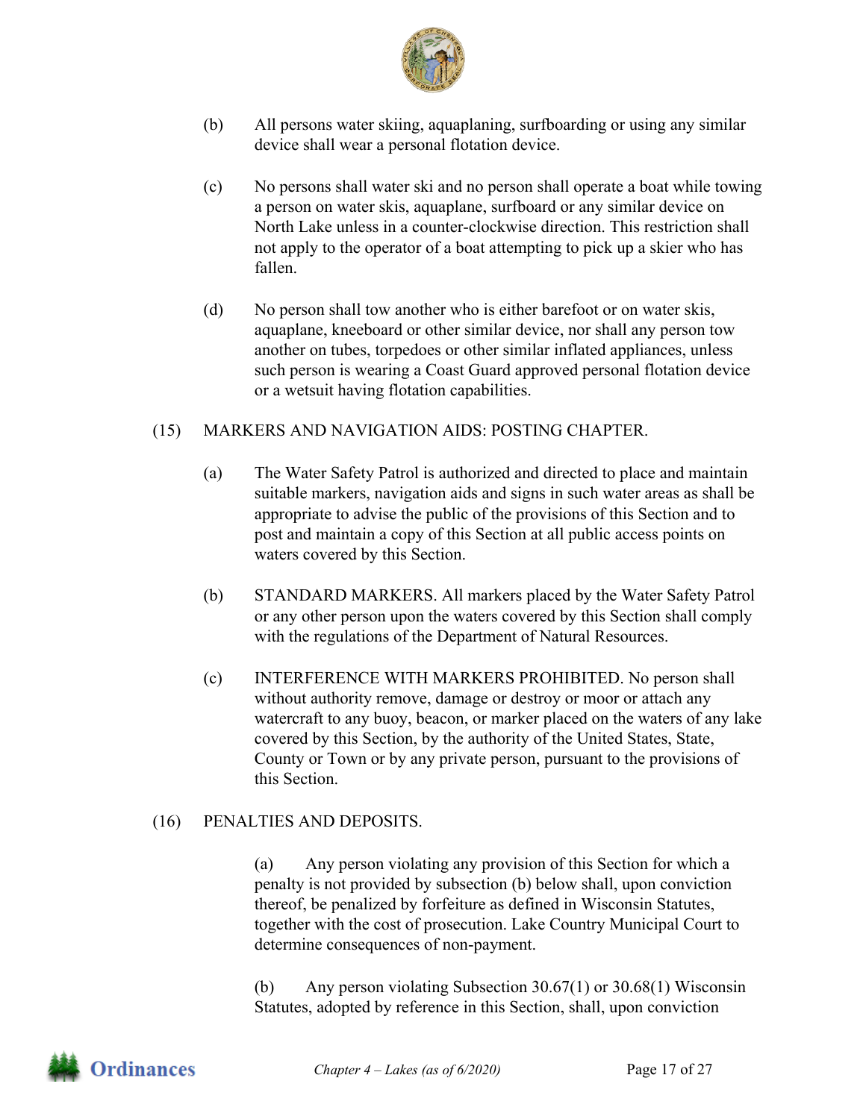

- (b) All persons water skiing, aquaplaning, surfboarding or using any similar device shall wear a personal flotation device.
- (c) No persons shall water ski and no person shall operate a boat while towing a person on water skis, aquaplane, surfboard or any similar device on North Lake unless in a counter-clockwise direction. This restriction shall not apply to the operator of a boat attempting to pick up a skier who has fallen.
- (d) No person shall tow another who is either barefoot or on water skis, aquaplane, kneeboard or other similar device, nor shall any person tow another on tubes, torpedoes or other similar inflated appliances, unless such person is wearing a Coast Guard approved personal flotation device or a wetsuit having flotation capabilities.

#### (15) MARKERS AND NAVIGATION AIDS: POSTING CHAPTER.

- (a) The Water Safety Patrol is authorized and directed to place and maintain suitable markers, navigation aids and signs in such water areas as shall be appropriate to advise the public of the provisions of this Section and to post and maintain a copy of this Section at all public access points on waters covered by this Section.
- (b) STANDARD MARKERS. All markers placed by the Water Safety Patrol or any other person upon the waters covered by this Section shall comply with the regulations of the Department of Natural Resources.
- (c) INTERFERENCE WITH MARKERS PROHIBITED. No person shall without authority remove, damage or destroy or moor or attach any watercraft to any buoy, beacon, or marker placed on the waters of any lake covered by this Section, by the authority of the United States, State, County or Town or by any private person, pursuant to the provisions of this Section.

#### (16) PENALTIES AND DEPOSITS.

(a) Any person violating any provision of this Section for which a penalty is not provided by subsection (b) below shall, upon conviction thereof, be penalized by forfeiture as defined in Wisconsin Statutes, together with the cost of prosecution. Lake Country Municipal Court to determine consequences of non-payment.

(b) Any person violating Subsection 30.67(1) or 30.68(1) Wisconsin Statutes, adopted by reference in this Section, shall, upon conviction

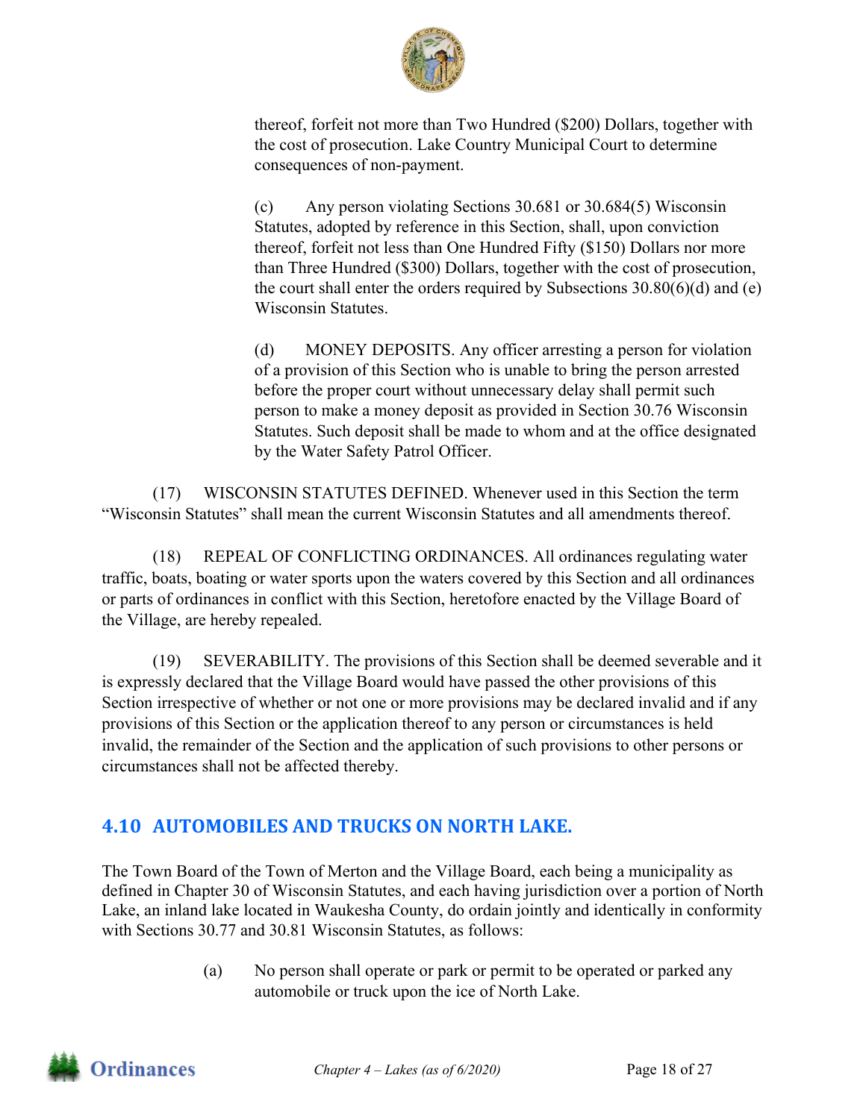

thereof, forfeit not more than Two Hundred (\$200) Dollars, together with the cost of prosecution. Lake Country Municipal Court to determine consequences of non-payment.

(c) Any person violating Sections 30.681 or 30.684(5) Wisconsin Statutes, adopted by reference in this Section, shall, upon conviction thereof, forfeit not less than One Hundred Fifty (\$150) Dollars nor more than Three Hundred (\$300) Dollars, together with the cost of prosecution, the court shall enter the orders required by Subsections  $30.80(6)(d)$  and (e) Wisconsin Statutes.

(d) MONEY DEPOSITS. Any officer arresting a person for violation of a provision of this Section who is unable to bring the person arrested before the proper court without unnecessary delay shall permit such person to make a money deposit as provided in Section 30.76 Wisconsin Statutes. Such deposit shall be made to whom and at the office designated by the Water Safety Patrol Officer.

(17) WISCONSIN STATUTES DEFINED. Whenever used in this Section the term "Wisconsin Statutes" shall mean the current Wisconsin Statutes and all amendments thereof.

(18) REPEAL OF CONFLICTING ORDINANCES. All ordinances regulating water traffic, boats, boating or water sports upon the waters covered by this Section and all ordinances or parts of ordinances in conflict with this Section, heretofore enacted by the Village Board of the Village, are hereby repealed.

(19) SEVERABILITY. The provisions of this Section shall be deemed severable and it is expressly declared that the Village Board would have passed the other provisions of this Section irrespective of whether or not one or more provisions may be declared invalid and if any provisions of this Section or the application thereof to any person or circumstances is held invalid, the remainder of the Section and the application of such provisions to other persons or circumstances shall not be affected thereby.

# **4.10 AUTOMOBILES AND TRUCKS ON NORTH LAKE.**

The Town Board of the Town of Merton and the Village Board, each being a municipality as defined in Chapter 30 of Wisconsin Statutes, and each having jurisdiction over a portion of North Lake, an inland lake located in Waukesha County, do ordain jointly and identically in conformity with Sections 30.77 and 30.81 Wisconsin Statutes, as follows:

> (a) No person shall operate or park or permit to be operated or parked any automobile or truck upon the ice of North Lake.

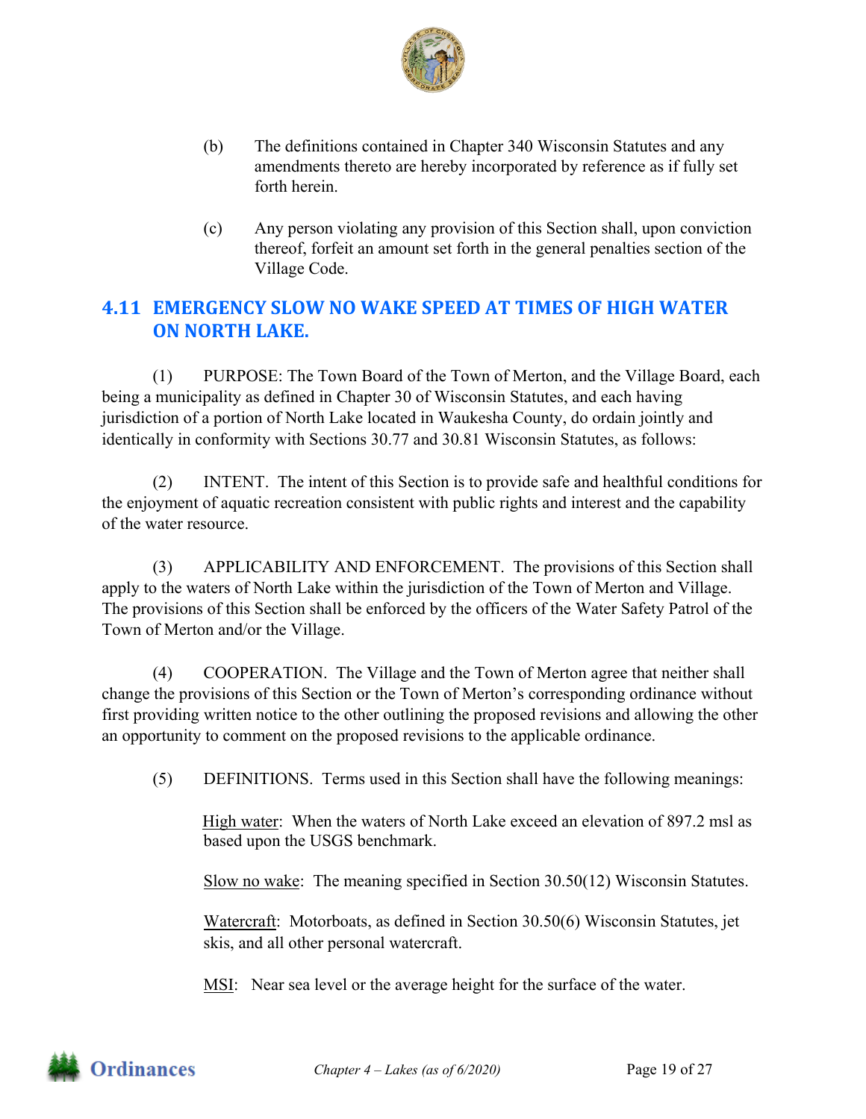

- (b) The definitions contained in Chapter 340 Wisconsin Statutes and any amendments thereto are hereby incorporated by reference as if fully set forth herein.
- (c) Any person violating any provision of this Section shall, upon conviction thereof, forfeit an amount set forth in the general penalties section of the Village Code.

# **4.11 EMERGENCY SLOW NO WAKE SPEED AT TIMES OF HIGH WATER ON NORTH LAKE.**

(1) PURPOSE: The Town Board of the Town of Merton, and the Village Board, each being a municipality as defined in Chapter 30 of Wisconsin Statutes, and each having jurisdiction of a portion of North Lake located in Waukesha County, do ordain jointly and identically in conformity with Sections 30.77 and 30.81 Wisconsin Statutes, as follows:

(2) INTENT. The intent of this Section is to provide safe and healthful conditions for the enjoyment of aquatic recreation consistent with public rights and interest and the capability of the water resource.

(3) APPLICABILITY AND ENFORCEMENT. The provisions of this Section shall apply to the waters of North Lake within the jurisdiction of the Town of Merton and Village. The provisions of this Section shall be enforced by the officers of the Water Safety Patrol of the Town of Merton and/or the Village.

(4) COOPERATION. The Village and the Town of Merton agree that neither shall change the provisions of this Section or the Town of Merton's corresponding ordinance without first providing written notice to the other outlining the proposed revisions and allowing the other an opportunity to comment on the proposed revisions to the applicable ordinance.

(5) DEFINITIONS. Terms used in this Section shall have the following meanings:

High water: When the waters of North Lake exceed an elevation of 897.2 msl as based upon the USGS benchmark.

Slow no wake: The meaning specified in Section 30.50(12) Wisconsin Statutes.

Watercraft: Motorboats, as defined in Section 30.50(6) Wisconsin Statutes, jet skis, and all other personal watercraft.

MSI: Near sea level or the average height for the surface of the water.

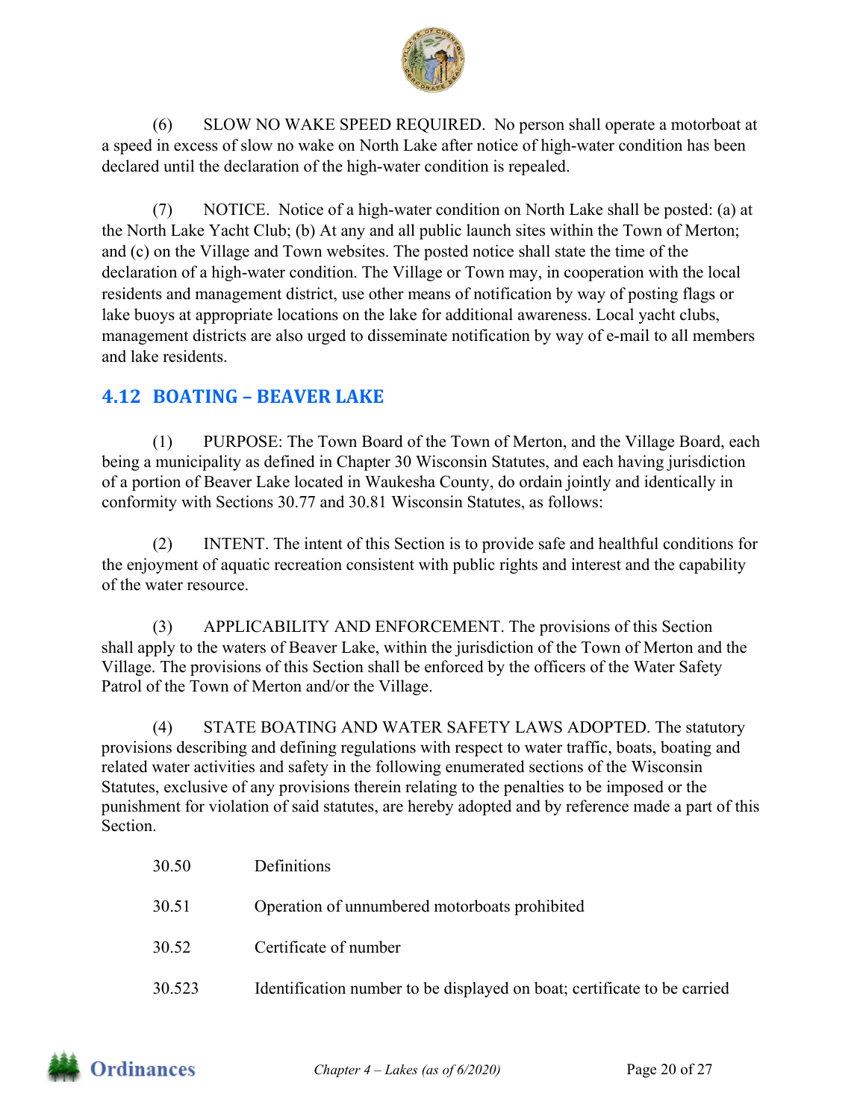

(6) SLOW NO WAKE SPEED REQUIRED. No person shall operate a motorboat at a speed in excess of slow no wake on North Lake after notice of high-water condition has been declared until the declaration of the high-water condition is repealed.

(7) NOTICE. Notice of a high-water condition on North Lake shall be posted: (a) at the North Lake Yacht Club; (b) At any and all public launch sites within the Town of Merton; and (c) on the Village and Town websites. The posted notice shall state the time of the declaration of a high-water condition. The Village or Town may, in cooperation with the local residents and management district, use other means of notification by way of posting flags or lake buoys at appropriate locations on the lake for additional awareness. Local yacht clubs, management districts are also urged to disseminate notification by way of e-mail to all members and lake residents.

## **4.12 BOATING – BEAVER LAKE**

(1) PURPOSE: The Town Board of the Town of Merton, and the Village Board, each being a municipality as defined in Chapter 30 Wisconsin Statutes, and each having jurisdiction of a portion of Beaver Lake located in Waukesha County, do ordain jointly and identically in conformity with Sections 30.77 and 30.81 Wisconsin Statutes, as follows:

(2) INTENT. The intent of this Section is to provide safe and healthful conditions for the enjoyment of aquatic recreation consistent with public rights and interest and the capability of the water resource.

(3) APPLICABILITY AND ENFORCEMENT. The provisions of this Section shall apply to the waters of Beaver Lake, within the jurisdiction of the Town of Merton and the Village. The provisions of this Section shall be enforced by the officers of the Water Safety Patrol of the Town of Merton and/or the Village.

(4) STATE BOATING AND WATER SAFETY LAWS ADOPTED. The statutory provisions describing and defining regulations with respect to water traffic, boats, boating and related water activities and safety in the following enumerated sections of the Wisconsin Statutes, exclusive of any provisions therein relating to the penalties to be imposed or the punishment for violation of said statutes, are hereby adopted and by reference made a part of this **Section** 

| 30.50  | Definitions                                                              |
|--------|--------------------------------------------------------------------------|
| 30.51  | Operation of unnumbered motorboats prohibited                            |
| 30.52  | Certificate of number                                                    |
| 30.523 | Identification number to be displayed on boat; certificate to be carried |

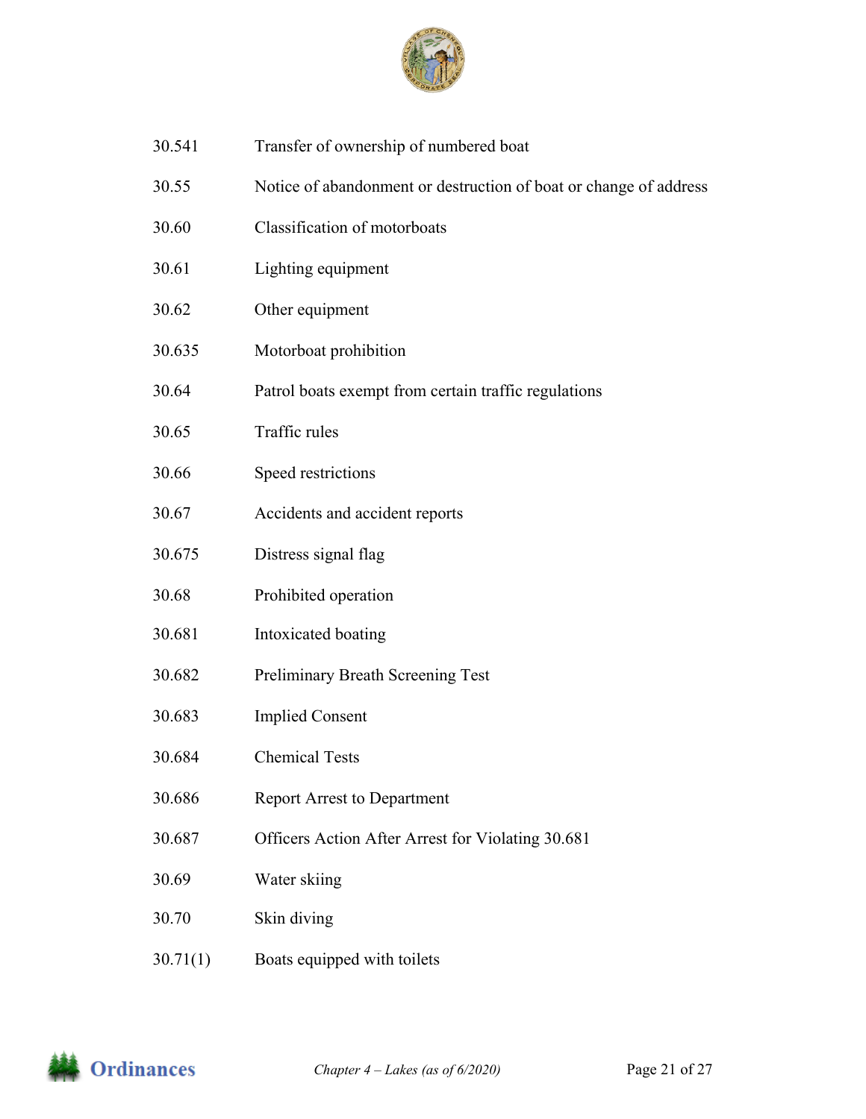

- 30.541 Transfer of ownership of numbered boat
- 30.55 Notice of abandonment or destruction of boat or change of address
- 30.60 Classification of motorboats
- 30.61 Lighting equipment
- 30.62 Other equipment
- 30.635 Motorboat prohibition
- 30.64 Patrol boats exempt from certain traffic regulations
- 30.65 Traffic rules
- 30.66 Speed restrictions
- 30.67 Accidents and accident reports
- 30.675 Distress signal flag
- 30.68 Prohibited operation
- 30.681 Intoxicated boating
- 30.682 Preliminary Breath Screening Test
- 30.683 Implied Consent
- 30.684 Chemical Tests
- 30.686 Report Arrest to Department
- 30.687 Officers Action After Arrest for Violating 30.681
- 30.69 Water skiing
- 30.70 Skin diving
- 30.71(1) Boats equipped with toilets

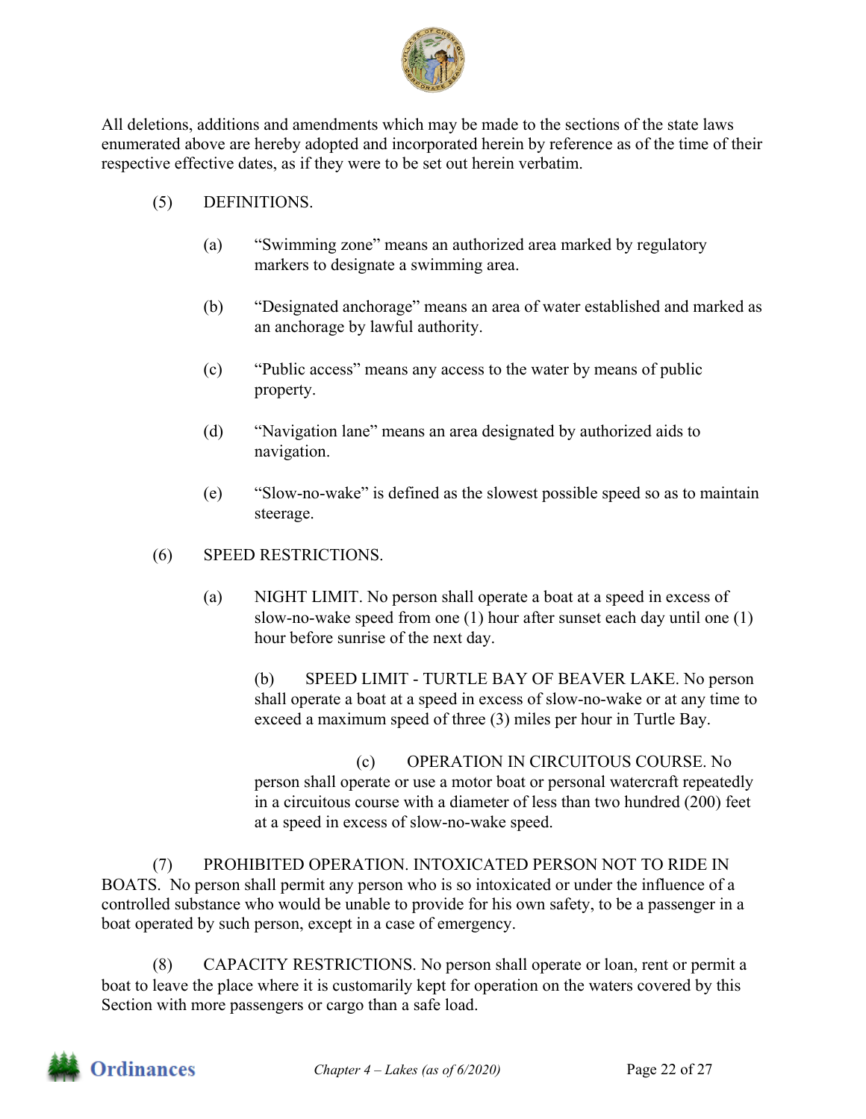

All deletions, additions and amendments which may be made to the sections of the state laws enumerated above are hereby adopted and incorporated herein by reference as of the time of their respective effective dates, as if they were to be set out herein verbatim.

- (5) DEFINITIONS.
	- (a) "Swimming zone" means an authorized area marked by regulatory markers to designate a swimming area.
	- (b) "Designated anchorage" means an area of water established and marked as an anchorage by lawful authority.
	- (c) "Public access" means any access to the water by means of public property.
	- (d) "Navigation lane" means an area designated by authorized aids to navigation.
	- (e) "Slow-no-wake" is defined as the slowest possible speed so as to maintain steerage.

### (6) SPEED RESTRICTIONS.

(a) NIGHT LIMIT. No person shall operate a boat at a speed in excess of slow-no-wake speed from one (1) hour after sunset each day until one (1) hour before sunrise of the next day.

(b) SPEED LIMIT - TURTLE BAY OF BEAVER LAKE. No person shall operate a boat at a speed in excess of slow-no-wake or at any time to exceed a maximum speed of three (3) miles per hour in Turtle Bay.

(c) OPERATION IN CIRCUITOUS COURSE. No person shall operate or use a motor boat or personal watercraft repeatedly in a circuitous course with a diameter of less than two hundred (200) feet at a speed in excess of slow-no-wake speed.

(7) PROHIBITED OPERATION. INTOXICATED PERSON NOT TO RIDE IN BOATS. No person shall permit any person who is so intoxicated or under the influence of a controlled substance who would be unable to provide for his own safety, to be a passenger in a boat operated by such person, except in a case of emergency.

(8) CAPACITY RESTRICTIONS. No person shall operate or loan, rent or permit a boat to leave the place where it is customarily kept for operation on the waters covered by this Section with more passengers or cargo than a safe load.

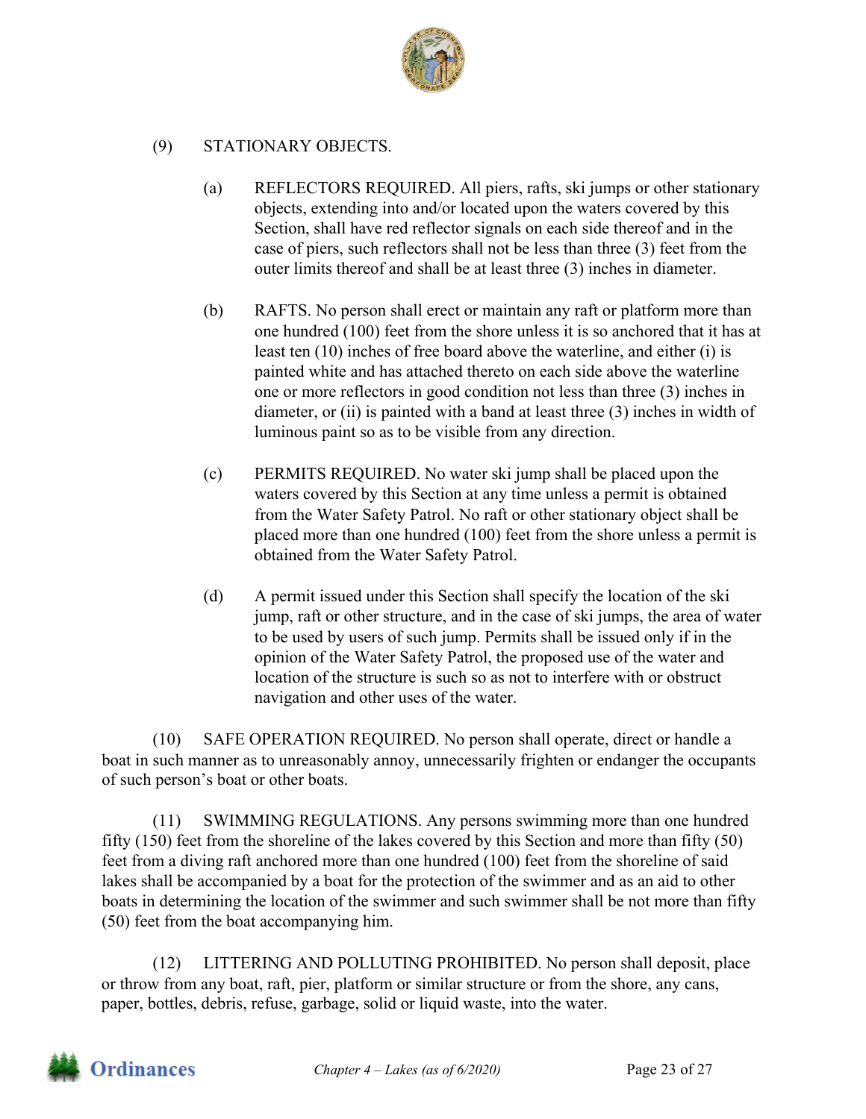

#### (9) STATIONARY OBJECTS.

- (a) REFLECTORS REQUIRED. All piers, rafts, ski jumps or other stationary objects, extending into and/or located upon the waters covered by this Section, shall have red reflector signals on each side thereof and in the case of piers, such reflectors shall not be less than three (3) feet from the outer limits thereof and shall be at least three (3) inches in diameter.
- (b) RAFTS. No person shall erect or maintain any raft or platform more than one hundred (100) feet from the shore unless it is so anchored that it has at least ten (10) inches of free board above the waterline, and either (i) is painted white and has attached thereto on each side above the waterline one or more reflectors in good condition not less than three (3) inches in diameter, or (ii) is painted with a band at least three (3) inches in width of luminous paint so as to be visible from any direction.
- (c) PERMITS REQUIRED. No water ski jump shall be placed upon the waters covered by this Section at any time unless a permit is obtained from the Water Safety Patrol. No raft or other stationary object shall be placed more than one hundred (100) feet from the shore unless a permit is obtained from the Water Safety Patrol.
- (d) A permit issued under this Section shall specify the location of the ski jump, raft or other structure, and in the case of ski jumps, the area of water to be used by users of such jump. Permits shall be issued only if in the opinion of the Water Safety Patrol, the proposed use of the water and location of the structure is such so as not to interfere with or obstruct navigation and other uses of the water.

(10) SAFE OPERATION REQUIRED. No person shall operate, direct or handle a boat in such manner as to unreasonably annoy, unnecessarily frighten or endanger the occupants of such person's boat or other boats.

(11) SWIMMING REGULATIONS. Any persons swimming more than one hundred fifty (150) feet from the shoreline of the lakes covered by this Section and more than fifty (50) feet from a diving raft anchored more than one hundred (100) feet from the shoreline of said lakes shall be accompanied by a boat for the protection of the swimmer and as an aid to other boats in determining the location of the swimmer and such swimmer shall be not more than fifty (50) feet from the boat accompanying him.

(12) LITTERING AND POLLUTING PROHIBITED. No person shall deposit, place or throw from any boat, raft, pier, platform or similar structure or from the shore, any cans, paper, bottles, debris, refuse, garbage, solid or liquid waste, into the water.

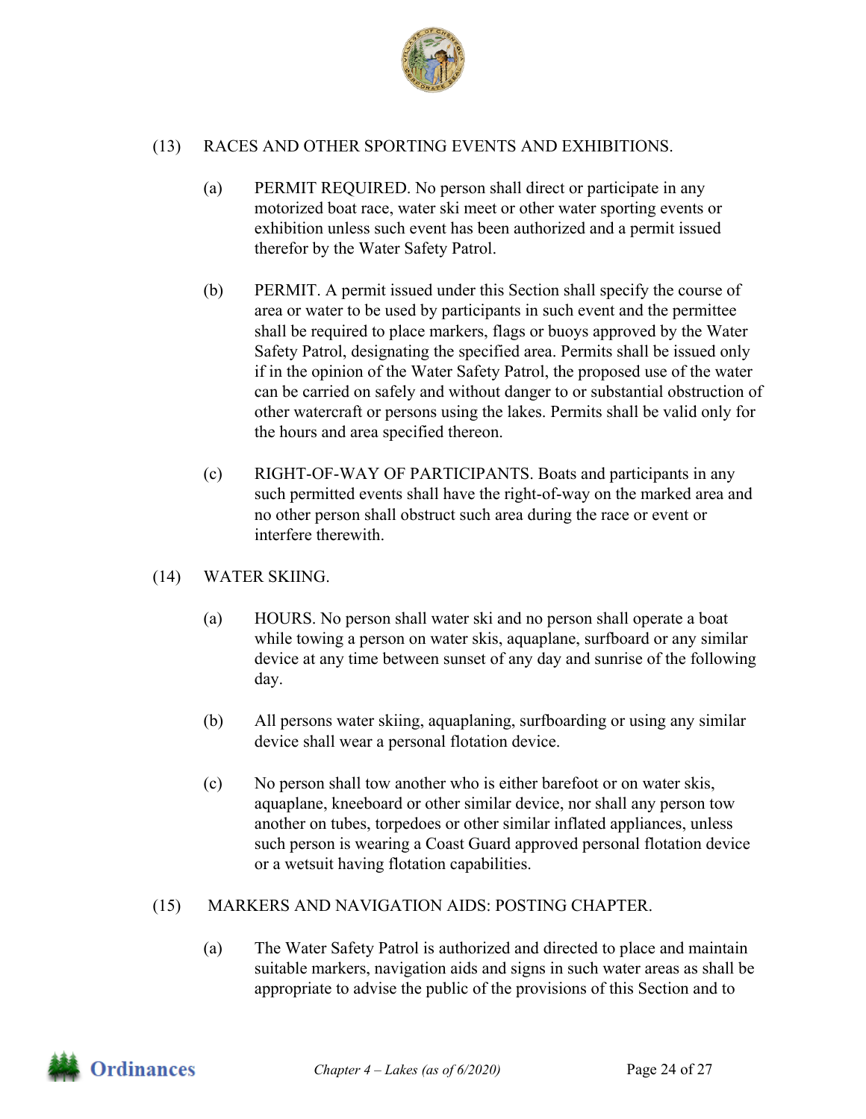

#### (13) RACES AND OTHER SPORTING EVENTS AND EXHIBITIONS.

- (a) PERMIT REQUIRED. No person shall direct or participate in any motorized boat race, water ski meet or other water sporting events or exhibition unless such event has been authorized and a permit issued therefor by the Water Safety Patrol.
- (b) PERMIT. A permit issued under this Section shall specify the course of area or water to be used by participants in such event and the permittee shall be required to place markers, flags or buoys approved by the Water Safety Patrol, designating the specified area. Permits shall be issued only if in the opinion of the Water Safety Patrol, the proposed use of the water can be carried on safely and without danger to or substantial obstruction of other watercraft or persons using the lakes. Permits shall be valid only for the hours and area specified thereon.
- (c) RIGHT-OF-WAY OF PARTICIPANTS. Boats and participants in any such permitted events shall have the right-of-way on the marked area and no other person shall obstruct such area during the race or event or interfere therewith.
- (14) WATER SKIING.
	- (a) HOURS. No person shall water ski and no person shall operate a boat while towing a person on water skis, aquaplane, surfboard or any similar device at any time between sunset of any day and sunrise of the following day.
	- (b) All persons water skiing, aquaplaning, surfboarding or using any similar device shall wear a personal flotation device.
	- (c) No person shall tow another who is either barefoot or on water skis, aquaplane, kneeboard or other similar device, nor shall any person tow another on tubes, torpedoes or other similar inflated appliances, unless such person is wearing a Coast Guard approved personal flotation device or a wetsuit having flotation capabilities.

#### (15) MARKERS AND NAVIGATION AIDS: POSTING CHAPTER.

(a) The Water Safety Patrol is authorized and directed to place and maintain suitable markers, navigation aids and signs in such water areas as shall be appropriate to advise the public of the provisions of this Section and to

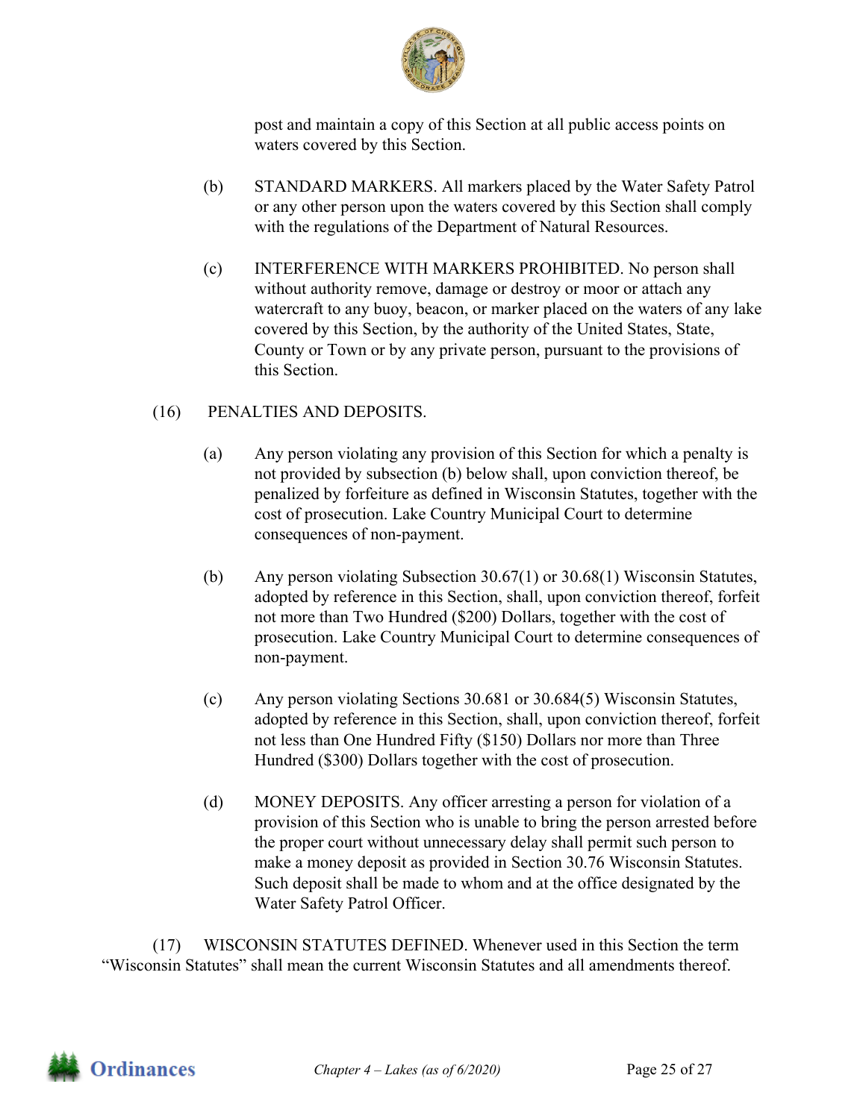

post and maintain a copy of this Section at all public access points on waters covered by this Section.

- (b) STANDARD MARKERS. All markers placed by the Water Safety Patrol or any other person upon the waters covered by this Section shall comply with the regulations of the Department of Natural Resources.
- (c) INTERFERENCE WITH MARKERS PROHIBITED. No person shall without authority remove, damage or destroy or moor or attach any watercraft to any buoy, beacon, or marker placed on the waters of any lake covered by this Section, by the authority of the United States, State, County or Town or by any private person, pursuant to the provisions of this Section.

#### (16) PENALTIES AND DEPOSITS.

- (a) Any person violating any provision of this Section for which a penalty is not provided by subsection (b) below shall, upon conviction thereof, be penalized by forfeiture as defined in Wisconsin Statutes, together with the cost of prosecution. Lake Country Municipal Court to determine consequences of non-payment.
- (b) Any person violating Subsection 30.67(1) or 30.68(1) Wisconsin Statutes, adopted by reference in this Section, shall, upon conviction thereof, forfeit not more than Two Hundred (\$200) Dollars, together with the cost of prosecution. Lake Country Municipal Court to determine consequences of non-payment.
- (c) Any person violating Sections 30.681 or 30.684(5) Wisconsin Statutes, adopted by reference in this Section, shall, upon conviction thereof, forfeit not less than One Hundred Fifty (\$150) Dollars nor more than Three Hundred (\$300) Dollars together with the cost of prosecution.
- (d) MONEY DEPOSITS. Any officer arresting a person for violation of a provision of this Section who is unable to bring the person arrested before the proper court without unnecessary delay shall permit such person to make a money deposit as provided in Section 30.76 Wisconsin Statutes. Such deposit shall be made to whom and at the office designated by the Water Safety Patrol Officer.

(17) WISCONSIN STATUTES DEFINED. Whenever used in this Section the term "Wisconsin Statutes" shall mean the current Wisconsin Statutes and all amendments thereof.

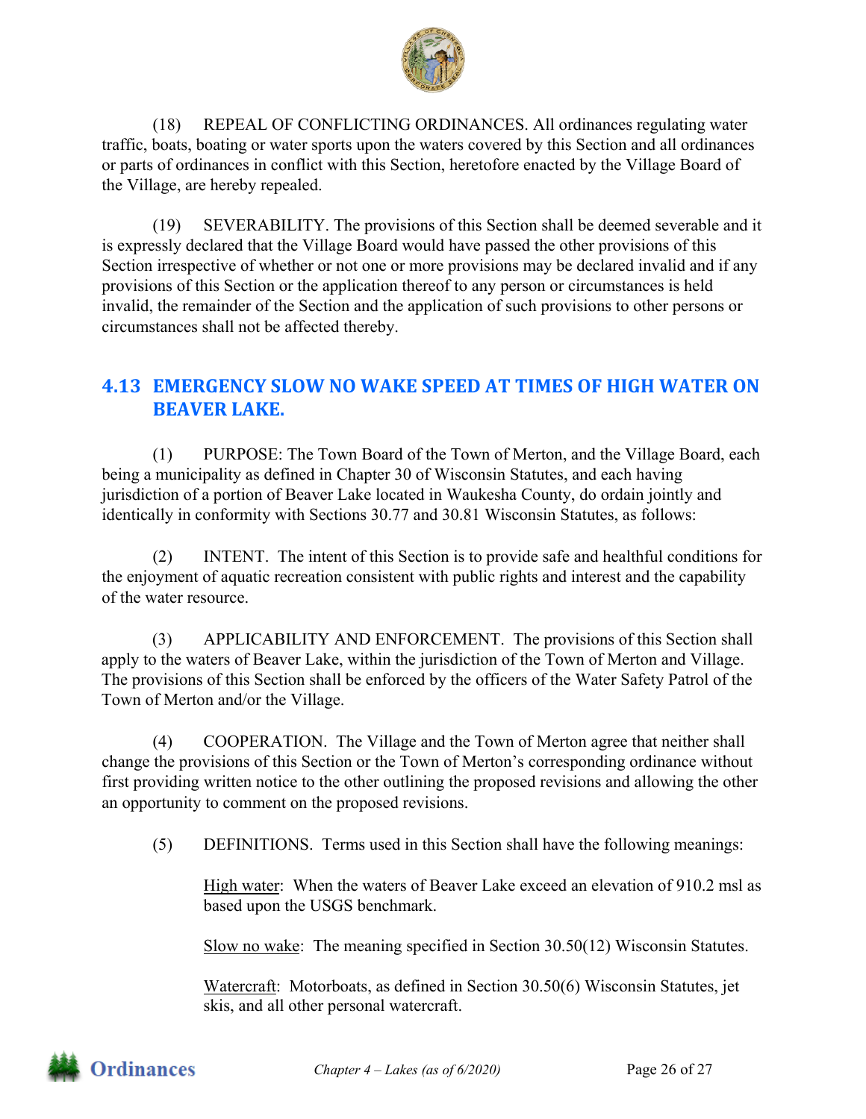

(18) REPEAL OF CONFLICTING ORDINANCES. All ordinances regulating water traffic, boats, boating or water sports upon the waters covered by this Section and all ordinances or parts of ordinances in conflict with this Section, heretofore enacted by the Village Board of the Village, are hereby repealed.

(19) SEVERABILITY. The provisions of this Section shall be deemed severable and it is expressly declared that the Village Board would have passed the other provisions of this Section irrespective of whether or not one or more provisions may be declared invalid and if any provisions of this Section or the application thereof to any person or circumstances is held invalid, the remainder of the Section and the application of such provisions to other persons or circumstances shall not be affected thereby.

# **4.13 EMERGENCY SLOW NO WAKE SPEED AT TIMES OF HIGH WATER ON BEAVER LAKE.**

(1) PURPOSE: The Town Board of the Town of Merton, and the Village Board, each being a municipality as defined in Chapter 30 of Wisconsin Statutes, and each having jurisdiction of a portion of Beaver Lake located in Waukesha County, do ordain jointly and identically in conformity with Sections 30.77 and 30.81 Wisconsin Statutes, as follows:

(2) INTENT. The intent of this Section is to provide safe and healthful conditions for the enjoyment of aquatic recreation consistent with public rights and interest and the capability of the water resource.

(3) APPLICABILITY AND ENFORCEMENT. The provisions of this Section shall apply to the waters of Beaver Lake, within the jurisdiction of the Town of Merton and Village. The provisions of this Section shall be enforced by the officers of the Water Safety Patrol of the Town of Merton and/or the Village.

(4) COOPERATION. The Village and the Town of Merton agree that neither shall change the provisions of this Section or the Town of Merton's corresponding ordinance without first providing written notice to the other outlining the proposed revisions and allowing the other an opportunity to comment on the proposed revisions.

(5) DEFINITIONS. Terms used in this Section shall have the following meanings:

High water: When the waters of Beaver Lake exceed an elevation of 910.2 msl as based upon the USGS benchmark.

Slow no wake: The meaning specified in Section 30.50(12) Wisconsin Statutes.

Watercraft: Motorboats, as defined in Section 30.50(6) Wisconsin Statutes, jet skis, and all other personal watercraft.